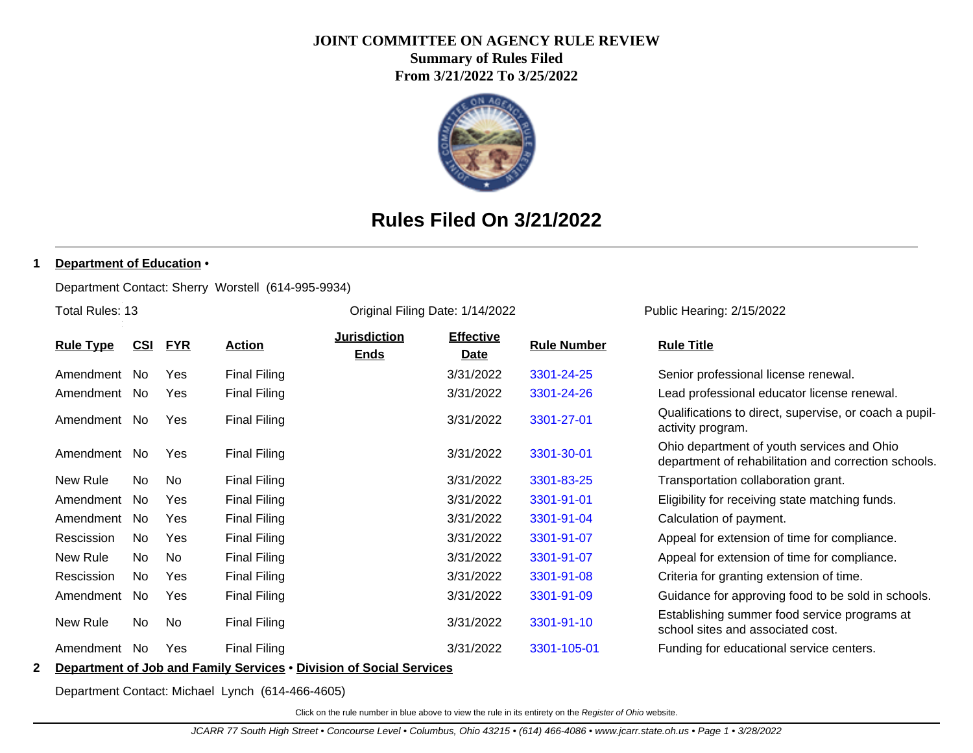# **JOINT COMMITTEE ON AGENCY RULE REVIEW**

**Summary of Rules Filed From 3/21/2022 To 3/25/2022**



# **Rules Filed On 3/21/2022**

### **1 Department of Education** •

Department Contact: Sherry Worstell (614-995-9934)

Total Rules: 13

Original Filing Date: 1/14/2022 Public Hearing: 2/15/2022

| <b>Rule Type</b> |            |            | <b>FYR</b> |                     | <b>Jurisdiction</b> | <b>Effective</b> |                    |                                                                                                    |
|------------------|------------|------------|------------|---------------------|---------------------|------------------|--------------------|----------------------------------------------------------------------------------------------------|
|                  |            | <u>CSI</u> |            | <b>Action</b>       | <b>Ends</b>         | <u>Date</u>      | <b>Rule Number</b> | <b>Rule Title</b>                                                                                  |
|                  | Amendment  | No.        | <b>Yes</b> | <b>Final Filing</b> |                     | 3/31/2022        | 3301-24-25         | Senior professional license renewal.                                                               |
|                  | Amendment  | No.        | <b>Yes</b> | <b>Final Filing</b> |                     | 3/31/2022        | 3301-24-26         | Lead professional educator license renewal.                                                        |
|                  | Amendment  | No.        | Yes        | <b>Final Filing</b> |                     | 3/31/2022        | 3301-27-01         | Qualifications to direct, supervise, or coach a pupil-<br>activity program.                        |
|                  | Amendment  | No.        | <b>Yes</b> | <b>Final Filing</b> |                     | 3/31/2022        | 3301-30-01         | Ohio department of youth services and Ohio<br>department of rehabilitation and correction schools. |
|                  | New Rule   | No.        | No.        | <b>Final Filing</b> |                     | 3/31/2022        | 3301-83-25         | Transportation collaboration grant.                                                                |
|                  | Amendment  | No.        | <b>Yes</b> | <b>Final Filing</b> |                     | 3/31/2022        | 3301-91-01         | Eligibility for receiving state matching funds.                                                    |
|                  | Amendment  | No.        | Yes        | <b>Final Filing</b> |                     | 3/31/2022        | 3301-91-04         | Calculation of payment.                                                                            |
|                  | Rescission | No         | <b>Yes</b> | <b>Final Filing</b> |                     | 3/31/2022        | 3301-91-07         | Appeal for extension of time for compliance.                                                       |
|                  | New Rule   | No         | No         | <b>Final Filing</b> |                     | 3/31/2022        | 3301-91-07         | Appeal for extension of time for compliance.                                                       |
|                  | Rescission | No.        | Yes        | <b>Final Filing</b> |                     | 3/31/2022        | 3301-91-08         | Criteria for granting extension of time.                                                           |
|                  | Amendment  | No.        | Yes        | <b>Final Filing</b> |                     | 3/31/2022        | 3301-91-09         | Guidance for approving food to be sold in schools.                                                 |
|                  | New Rule   | No         | No         | <b>Final Filing</b> |                     | 3/31/2022        | 3301-91-10         | Establishing summer food service programs at<br>school sites and associated cost.                  |
|                  | Amendment  | No.        | <b>Yes</b> | <b>Final Filing</b> |                     | 3/31/2022        | 3301-105-01        | Funding for educational service centers.                                                           |
|                  |            |            |            | ----                |                     |                  |                    |                                                                                                    |

**2 Department of Job and Family Services** • **Division of Social Services**

Department Contact: Michael Lynch (614-466-4605)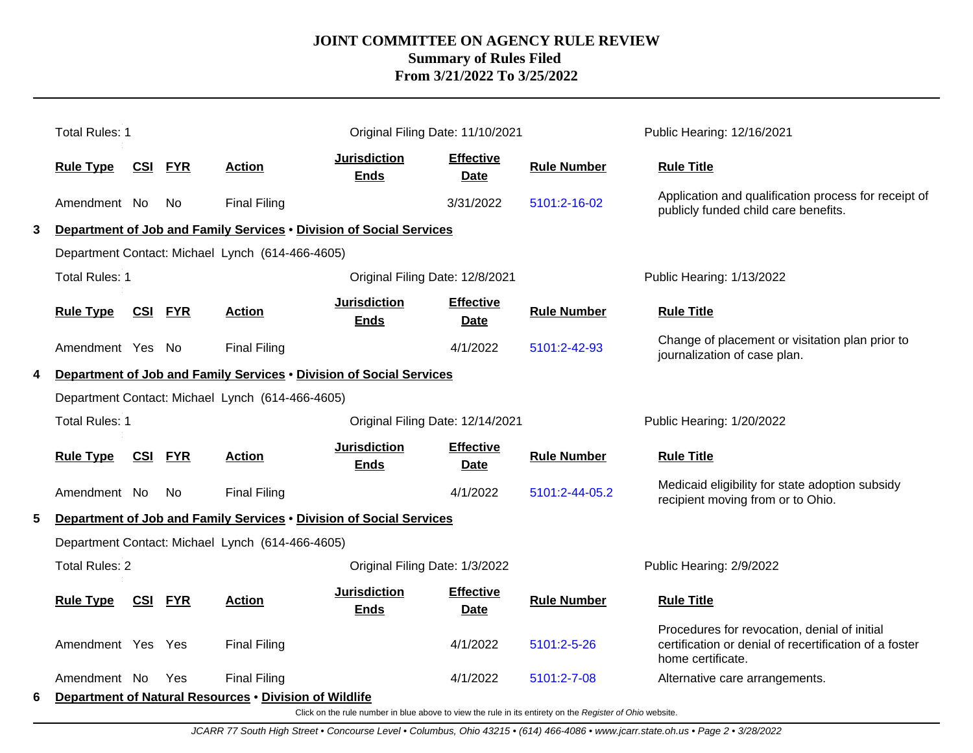|   | <b>Total Rules: 1</b> |                |                |                                                                     | Original Filing Date: 11/10/2021   |                                 |                    | Public Hearing: 12/16/2021                                                                                                  |
|---|-----------------------|----------------|----------------|---------------------------------------------------------------------|------------------------------------|---------------------------------|--------------------|-----------------------------------------------------------------------------------------------------------------------------|
|   | <b>Rule Type</b>      | <b>CSI</b>     | <b>FYR</b>     | <b>Action</b>                                                       | <b>Jurisdiction</b><br><b>Ends</b> | <b>Effective</b><br><b>Date</b> | <b>Rule Number</b> | <b>Rule Title</b>                                                                                                           |
|   | Amendment No          |                | No             | <b>Final Filing</b>                                                 |                                    | 3/31/2022                       | 5101:2-16-02       | Application and qualification process for receipt of<br>publicly funded child care benefits.                                |
| 3 |                       |                |                | Department of Job and Family Services . Division of Social Services |                                    |                                 |                    |                                                                                                                             |
|   |                       |                |                | Department Contact: Michael Lynch (614-466-4605)                    |                                    |                                 |                    |                                                                                                                             |
|   | <b>Total Rules: 1</b> |                |                |                                                                     | Original Filing Date: 12/8/2021    |                                 |                    | Public Hearing: 1/13/2022                                                                                                   |
|   | <b>Rule Type</b>      |                | <b>CSI FYR</b> | <b>Action</b>                                                       | <b>Jurisdiction</b><br><b>Ends</b> | <b>Effective</b><br>Date        | <b>Rule Number</b> | <b>Rule Title</b>                                                                                                           |
|   | Amendment Yes No      |                |                | <b>Final Filing</b>                                                 |                                    | 4/1/2022                        | 5101:2-42-93       | Change of placement or visitation plan prior to<br>journalization of case plan.                                             |
| 4 |                       |                |                | Department of Job and Family Services . Division of Social Services |                                    |                                 |                    |                                                                                                                             |
|   |                       |                |                | Department Contact: Michael Lynch (614-466-4605)                    |                                    |                                 |                    |                                                                                                                             |
|   | <b>Total Rules: 1</b> |                |                |                                                                     | Original Filing Date: 12/14/2021   |                                 |                    | Public Hearing: 1/20/2022                                                                                                   |
|   | <b>Rule Type</b>      | <u>CSI FYR</u> |                | <b>Action</b>                                                       | <b>Jurisdiction</b><br><b>Ends</b> | <b>Effective</b><br><b>Date</b> | <b>Rule Number</b> | <b>Rule Title</b>                                                                                                           |
|   | Amendment No          |                | No             | <b>Final Filing</b>                                                 |                                    | 4/1/2022                        | 5101:2-44-05.2     | Medicaid eligibility for state adoption subsidy<br>recipient moving from or to Ohio.                                        |
| 5 |                       |                |                | Department of Job and Family Services . Division of Social Services |                                    |                                 |                    |                                                                                                                             |
|   |                       |                |                | Department Contact: Michael Lynch (614-466-4605)                    |                                    |                                 |                    |                                                                                                                             |
|   | <b>Total Rules: 2</b> |                |                |                                                                     | Original Filing Date: 1/3/2022     |                                 |                    | Public Hearing: 2/9/2022                                                                                                    |
|   | <b>Rule Type</b>      |                | <b>CSI FYR</b> | <b>Action</b>                                                       | <b>Jurisdiction</b><br><b>Ends</b> | <b>Effective</b><br>Date        | <b>Rule Number</b> | <b>Rule Title</b>                                                                                                           |
|   | Amendment Yes Yes     |                |                | <b>Final Filing</b>                                                 |                                    | 4/1/2022                        | 5101:2-5-26        | Procedures for revocation, denial of initial<br>certification or denial of recertification of a foster<br>home certificate. |
|   | Amendment No          |                | Yes            | <b>Final Filing</b>                                                 |                                    | 4/1/2022                        | 5101:2-7-08        | Alternative care arrangements.                                                                                              |
| 6 |                       |                |                | Department of Natural Resources . Division of Wildlife              |                                    |                                 |                    |                                                                                                                             |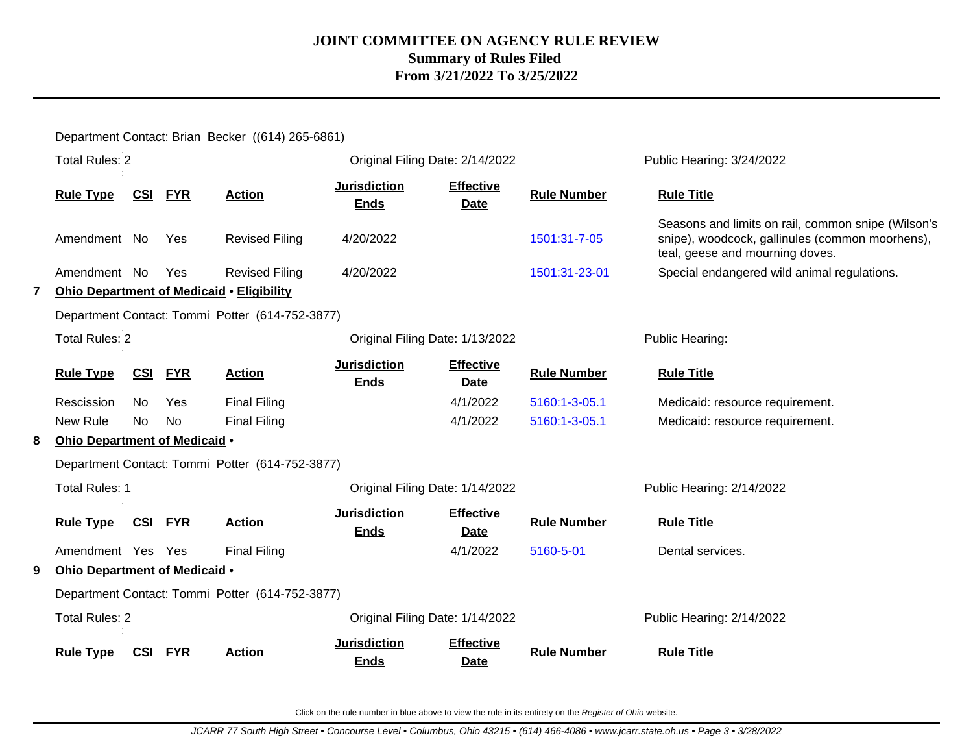Department Contact: Brian Becker ((614) 265-6861)

|   | <b>Total Rules: 2</b>         |            |            |                                                  | Original Filing Date: 2/14/2022    |                                 |                    | Public Hearing: 3/24/2022                                                                                                                |
|---|-------------------------------|------------|------------|--------------------------------------------------|------------------------------------|---------------------------------|--------------------|------------------------------------------------------------------------------------------------------------------------------------------|
|   | <b>Rule Type</b>              | CSI        | <b>FYR</b> | <b>Action</b>                                    | <b>Jurisdiction</b><br><b>Ends</b> | <b>Effective</b><br><b>Date</b> | <b>Rule Number</b> | <b>Rule Title</b>                                                                                                                        |
|   | Amendment No                  |            | Yes        | <b>Revised Filing</b>                            | 4/20/2022                          |                                 | 1501:31-7-05       | Seasons and limits on rail, common snipe (Wilson's<br>snipe), woodcock, gallinules (common moorhens),<br>teal, geese and mourning doves. |
|   | Amendment No                  |            | Yes        | <b>Revised Filing</b>                            | 4/20/2022                          |                                 | 1501:31-23-01      | Special endangered wild animal regulations.                                                                                              |
| 7 |                               |            |            | <b>Ohio Department of Medicaid • Eligibility</b> |                                    |                                 |                    |                                                                                                                                          |
|   |                               |            |            | Department Contact: Tommi Potter (614-752-3877)  |                                    |                                 |                    |                                                                                                                                          |
|   | <b>Total Rules: 2</b>         |            |            |                                                  | Original Filing Date: 1/13/2022    |                                 |                    | Public Hearing:                                                                                                                          |
|   | <b>Rule Type</b>              | CSI        | <b>FYR</b> | <b>Action</b>                                    | <b>Jurisdiction</b><br><b>Ends</b> | <b>Effective</b><br><b>Date</b> | <b>Rule Number</b> | <b>Rule Title</b>                                                                                                                        |
|   | Rescission                    | No         | Yes        | <b>Final Filing</b>                              |                                    | 4/1/2022                        | 5160:1-3-05.1      | Medicaid: resource requirement.                                                                                                          |
|   | New Rule                      | No.        | <b>No</b>  | <b>Final Filing</b>                              |                                    | 4/1/2022                        | 5160:1-3-05.1      | Medicaid: resource requirement.                                                                                                          |
| 8 | Ohio Department of Medicaid . |            |            |                                                  |                                    |                                 |                    |                                                                                                                                          |
|   |                               |            |            | Department Contact: Tommi Potter (614-752-3877)  |                                    |                                 |                    |                                                                                                                                          |
|   | <b>Total Rules: 1</b>         |            |            |                                                  | Original Filing Date: 1/14/2022    |                                 |                    | Public Hearing: 2/14/2022                                                                                                                |
|   | <b>Rule Type</b>              | <u>CSI</u> | <b>FYR</b> | <b>Action</b>                                    | <b>Jurisdiction</b><br><b>Ends</b> | <b>Effective</b><br><b>Date</b> | <b>Rule Number</b> | <b>Rule Title</b>                                                                                                                        |
|   | Amendment Yes Yes             |            |            | <b>Final Filing</b>                              |                                    | 4/1/2022                        | 5160-5-01          | Dental services.                                                                                                                         |
| 9 | Ohio Department of Medicaid . |            |            |                                                  |                                    |                                 |                    |                                                                                                                                          |
|   |                               |            |            | Department Contact: Tommi Potter (614-752-3877)  |                                    |                                 |                    |                                                                                                                                          |
|   | <b>Total Rules: 2</b>         |            |            |                                                  | Original Filing Date: 1/14/2022    |                                 |                    | Public Hearing: 2/14/2022                                                                                                                |
|   | <b>Rule Type</b>              | CSI        | <b>FYR</b> | <b>Action</b>                                    | <b>Jurisdiction</b><br><b>Ends</b> | <b>Effective</b><br><b>Date</b> | <b>Rule Number</b> | <b>Rule Title</b>                                                                                                                        |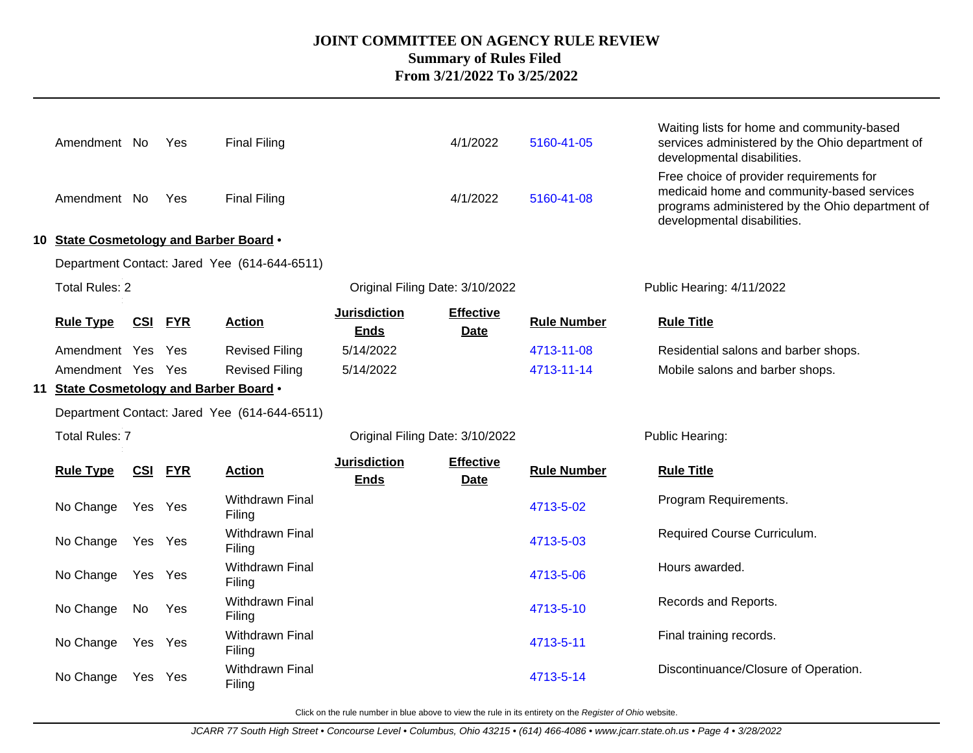| Amendment No                            |         | Yes            | <b>Final Filing</b>                          |                                    | 4/1/2022                        | 5160-41-05         | Waiting lists for home and community-based<br>services administered by the Ohio department of<br>developmental disabilities.                                             |
|-----------------------------------------|---------|----------------|----------------------------------------------|------------------------------------|---------------------------------|--------------------|--------------------------------------------------------------------------------------------------------------------------------------------------------------------------|
| Amendment No                            |         | Yes            | <b>Final Filing</b>                          |                                    | 4/1/2022                        | 5160-41-08         | Free choice of provider requirements for<br>medicaid home and community-based services<br>programs administered by the Ohio department of<br>developmental disabilities. |
| 10 State Cosmetology and Barber Board . |         |                |                                              |                                    |                                 |                    |                                                                                                                                                                          |
|                                         |         |                | Department Contact: Jared Yee (614-644-6511) |                                    |                                 |                    |                                                                                                                                                                          |
| <b>Total Rules: 2</b>                   |         |                |                                              | Original Filing Date: 3/10/2022    |                                 |                    | Public Hearing: 4/11/2022                                                                                                                                                |
| <b>Rule Type</b>                        |         | <b>CSI FYR</b> | <b>Action</b>                                | <b>Jurisdiction</b><br><b>Ends</b> | <b>Effective</b><br><b>Date</b> | <b>Rule Number</b> | <b>Rule Title</b>                                                                                                                                                        |
| Amendment Yes Yes                       |         |                | <b>Revised Filing</b>                        | 5/14/2022                          |                                 | 4713-11-08         | Residential salons and barber shops.                                                                                                                                     |
| Amendment Yes Yes                       |         |                | <b>Revised Filing</b>                        | 5/14/2022                          |                                 | 4713-11-14         | Mobile salons and barber shops.                                                                                                                                          |
| 11 State Cosmetology and Barber Board . |         |                |                                              |                                    |                                 |                    |                                                                                                                                                                          |
|                                         |         |                | Department Contact: Jared Yee (614-644-6511) |                                    |                                 |                    |                                                                                                                                                                          |
| <b>Total Rules: 7</b>                   |         |                |                                              | Original Filing Date: 3/10/2022    |                                 |                    | Public Hearing:                                                                                                                                                          |
| <b>Rule Type</b>                        |         | <b>CSI FYR</b> | <b>Action</b>                                | <b>Jurisdiction</b><br><b>Ends</b> | <b>Effective</b><br><b>Date</b> | <b>Rule Number</b> | <b>Rule Title</b>                                                                                                                                                        |
| No Change                               | Yes Yes |                | Withdrawn Final<br>Filing                    |                                    |                                 | 4713-5-02          | Program Requirements.                                                                                                                                                    |
| No Change                               | Yes Yes |                | Withdrawn Final<br>Filing                    |                                    |                                 | 4713-5-03          | Required Course Curriculum.                                                                                                                                              |
| No Change                               | Yes Yes |                | Withdrawn Final<br>Filing                    |                                    |                                 | 4713-5-06          | Hours awarded.                                                                                                                                                           |
| No Change                               | No      | Yes            | Withdrawn Final<br>Filing                    |                                    |                                 | 4713-5-10          | Records and Reports.                                                                                                                                                     |
| No Change                               | Yes Yes |                | Withdrawn Final<br>Filing                    |                                    |                                 | 4713-5-11          | Final training records.                                                                                                                                                  |
| No Change                               | Yes Yes |                | <b>Withdrawn Final</b><br>Filing             |                                    |                                 | 4713-5-14          | Discontinuance/Closure of Operation.                                                                                                                                     |
|                                         |         |                |                                              |                                    |                                 |                    |                                                                                                                                                                          |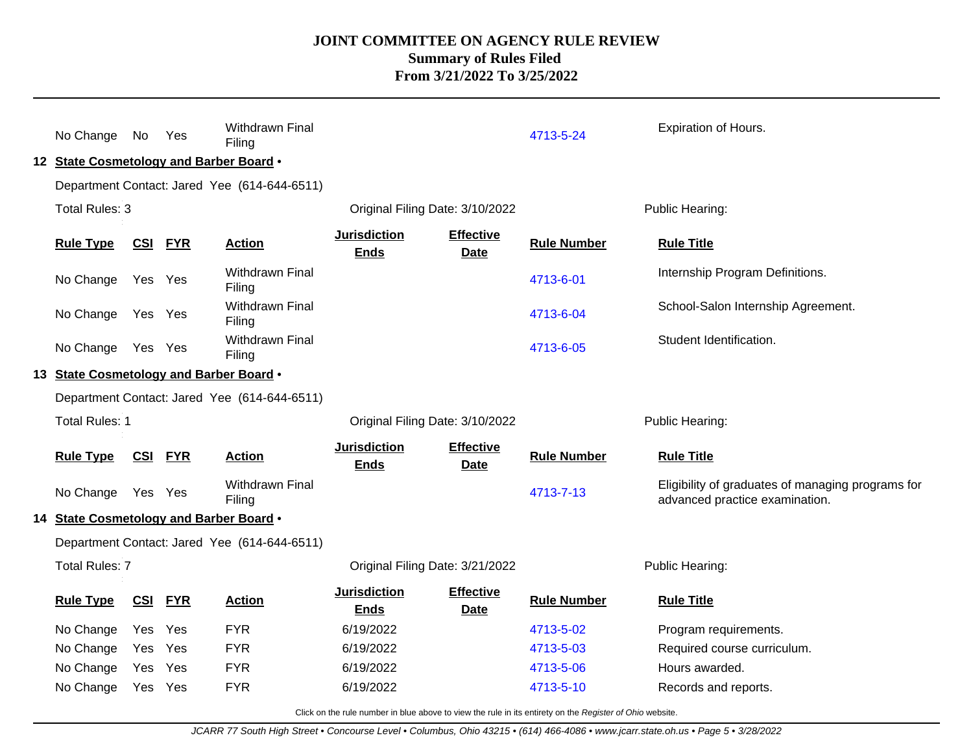| No Change No<br>12 State Cosmetology and Barber Board . |            | Yes            | Withdrawn Final<br>Filing                    |                                    |                                 | 4713-5-24              | <b>Expiration of Hours.</b>                                                         |
|---------------------------------------------------------|------------|----------------|----------------------------------------------|------------------------------------|---------------------------------|------------------------|-------------------------------------------------------------------------------------|
|                                                         |            |                | Department Contact: Jared Yee (614-644-6511) |                                    |                                 |                        |                                                                                     |
| Total Rules: 3                                          |            |                |                                              | Original Filing Date: 3/10/2022    |                                 |                        | Public Hearing:                                                                     |
| <b>Rule Type</b>                                        | <b>CSI</b> | <b>FYR</b>     | <b>Action</b>                                | <b>Jurisdiction</b><br><b>Ends</b> | <b>Effective</b><br><b>Date</b> | <b>Rule Number</b>     | <b>Rule Title</b>                                                                   |
| No Change                                               | Yes Yes    |                | <b>Withdrawn Final</b><br>Filing             |                                    |                                 | 4713-6-01              | Internship Program Definitions.                                                     |
| No Change                                               | Yes Yes    |                | Withdrawn Final<br>Filing                    |                                    |                                 | 4713-6-04              | School-Salon Internship Agreement.                                                  |
| No Change                                               | Yes Yes    |                | Withdrawn Final<br>Filing                    |                                    |                                 | 4713-6-05              | Student Identification.                                                             |
| 13 State Cosmetology and Barber Board .                 |            |                |                                              |                                    |                                 |                        |                                                                                     |
|                                                         |            |                | Department Contact: Jared Yee (614-644-6511) |                                    |                                 |                        |                                                                                     |
|                                                         |            |                |                                              |                                    |                                 |                        |                                                                                     |
| <b>Total Rules: 1</b>                                   |            |                |                                              | Original Filing Date: 3/10/2022    |                                 |                        | Public Hearing:                                                                     |
| <b>Rule Type</b>                                        |            | <b>CSI FYR</b> | <b>Action</b>                                | <b>Jurisdiction</b><br><b>Ends</b> | <b>Effective</b><br><b>Date</b> | <b>Rule Number</b>     | <b>Rule Title</b>                                                                   |
| No Change                                               | Yes Yes    |                | <b>Withdrawn Final</b><br>Filing             |                                    |                                 | 4713-7-13              | Eligibility of graduates of managing programs for<br>advanced practice examination. |
| 14 State Cosmetology and Barber Board .                 |            |                |                                              |                                    |                                 |                        |                                                                                     |
|                                                         |            |                | Department Contact: Jared Yee (614-644-6511) |                                    |                                 |                        |                                                                                     |
| <b>Total Rules: 7</b>                                   |            |                |                                              | Original Filing Date: 3/21/2022    |                                 |                        | Public Hearing:                                                                     |
| <b>Rule Type</b>                                        | CSI        | <b>FYR</b>     | <b>Action</b>                                | <b>Jurisdiction</b><br><b>Ends</b> | <b>Effective</b><br><b>Date</b> | <b>Rule Number</b>     | <b>Rule Title</b>                                                                   |
| No Change                                               | Yes        | Yes            | <b>FYR</b>                                   | 6/19/2022                          |                                 | 4713-5-02              | Program requirements.                                                               |
| No Change                                               | Yes        | Yes            | <b>FYR</b>                                   | 6/19/2022                          |                                 | 4713-5-03              | Required course curriculum.                                                         |
| No Change                                               | Yes        | Yes            | <b>FYR</b><br><b>FYR</b>                     | 6/19/2022                          |                                 | 4713-5-06<br>4713-5-10 | Hours awarded.                                                                      |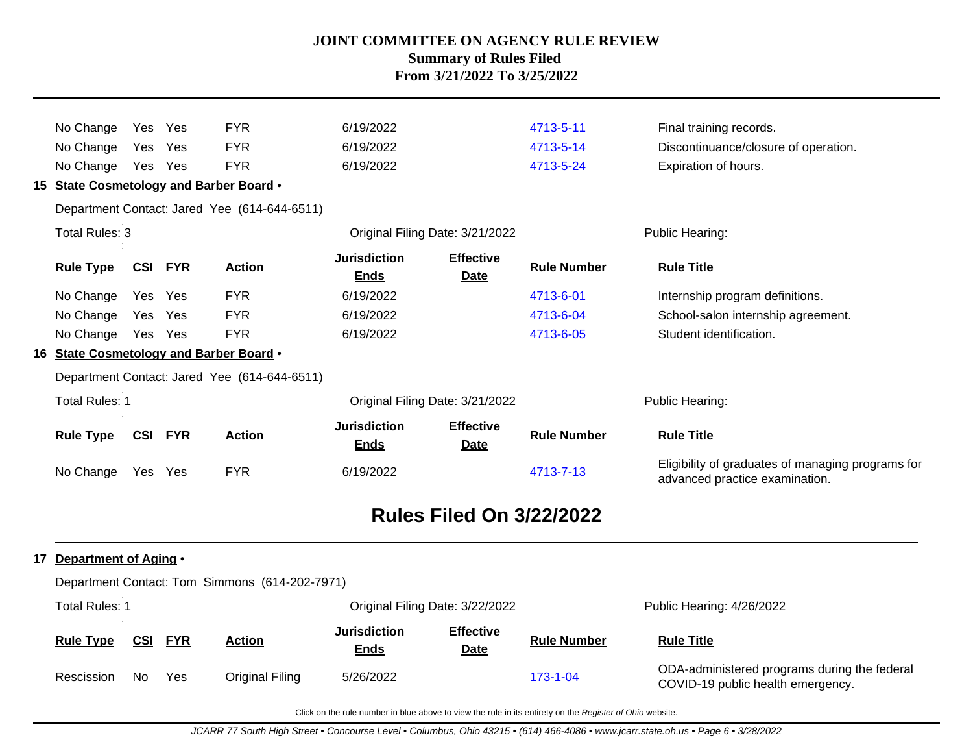| No Change                                                | Yes        | Yes        | <b>FYR</b>                                     | 6/19/2022                          |                                 | 4713-5-11          | Final training records.                                                             |
|----------------------------------------------------------|------------|------------|------------------------------------------------|------------------------------------|---------------------------------|--------------------|-------------------------------------------------------------------------------------|
| No Change                                                | Yes        | Yes        | <b>FYR</b>                                     | 6/19/2022                          |                                 | 4713-5-14          | Discontinuance/closure of operation.                                                |
| No Change                                                | Yes Yes    |            | <b>FYR</b>                                     | 6/19/2022                          |                                 | 4713-5-24          | Expiration of hours.                                                                |
| 15 State Cosmetology and Barber Board .                  |            |            |                                                |                                    |                                 |                    |                                                                                     |
|                                                          |            |            | Department Contact: Jared Yee (614-644-6511)   |                                    |                                 |                    |                                                                                     |
| Total Rules: 3                                           |            |            |                                                |                                    | Original Filing Date: 3/21/2022 |                    | Public Hearing:                                                                     |
| <b>Rule Type</b>                                         | <u>CSI</u> | <b>FYR</b> | <b>Action</b>                                  | <b>Jurisdiction</b><br><b>Ends</b> | <b>Effective</b><br>Date        | <b>Rule Number</b> | <b>Rule Title</b>                                                                   |
| No Change                                                | Yes        | Yes        | <b>FYR</b>                                     | 6/19/2022                          |                                 | 4713-6-01          | Internship program definitions.                                                     |
| No Change                                                | Yes        | Yes        | <b>FYR</b>                                     | 6/19/2022                          |                                 | 4713-6-04          | School-salon internship agreement.                                                  |
| No Change Yes Yes                                        |            |            | <b>FYR</b>                                     | 6/19/2022                          |                                 | 4713-6-05          | Student identification.                                                             |
| 16 State Cosmetology and Barber Board .                  |            |            |                                                |                                    |                                 |                    |                                                                                     |
|                                                          |            |            | Department Contact: Jared Yee (614-644-6511)   |                                    |                                 |                    |                                                                                     |
| <b>Total Rules: 1</b><br>Original Filing Date: 3/21/2022 |            |            |                                                |                                    | Public Hearing:                 |                    |                                                                                     |
| <b>Rule Type</b>                                         | <b>CSI</b> | <b>FYR</b> | <b>Action</b>                                  | <b>Jurisdiction</b><br><b>Ends</b> | <b>Effective</b><br><b>Date</b> | <b>Rule Number</b> | <b>Rule Title</b>                                                                   |
| No Change                                                | Yes Yes    |            | <b>FYR</b>                                     | 6/19/2022                          |                                 | 4713-7-13          | Eligibility of graduates of managing programs for<br>advanced practice examination. |
|                                                          |            |            |                                                |                                    | <b>Rules Filed On 3/22/2022</b> |                    |                                                                                     |
| 17 Department of Aging .                                 |            |            |                                                |                                    |                                 |                    |                                                                                     |
|                                                          |            |            | Department Contact: Tom Simmons (614-202-7971) |                                    |                                 |                    |                                                                                     |
| <b>Total Rules: 1</b>                                    |            |            |                                                |                                    | Original Filing Date: 3/22/2022 |                    | Public Hearing: 4/26/2022                                                           |
| <b>Rule Type</b>                                         | <u>CSI</u> | <b>FYR</b> | <b>Action</b>                                  | <b>Jurisdiction</b><br><b>Ends</b> | <b>Effective</b><br>Date        | <b>Rule Number</b> | <b>Rule Title</b>                                                                   |
| Rescission                                               | No.        | Yes        | <b>Original Filing</b>                         | 5/26/2022                          |                                 | 173-1-04           | ODA-administered programs during the federal<br>COVID-19 public health emergency.   |
|                                                          |            |            |                                                |                                    |                                 |                    |                                                                                     |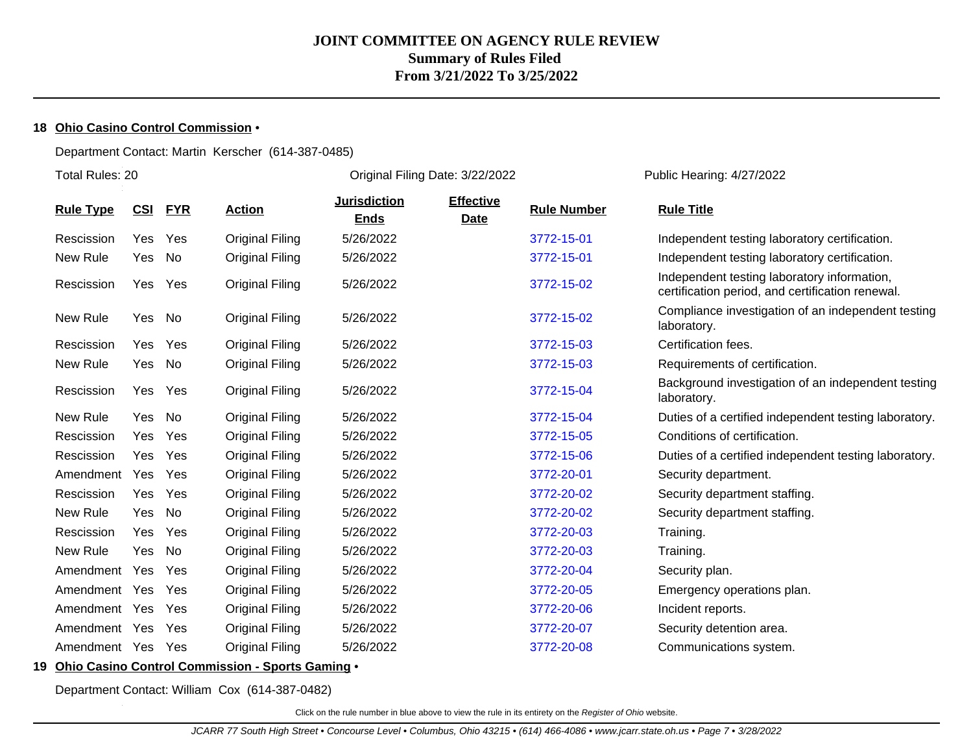### **18 Ohio Casino Control Commission** •

#### Department Contact: Martin Kerscher (614-387-0485)

Total Rules: 20

Original Filing Date: 3/22/2022 Public Hearing: 4/27/2022

| <b>Rule Type</b> | CSI        | <b>FYR</b> | <b>Action</b>          | <b>Jurisdiction</b><br><b>Ends</b> | <b>Effective</b><br>Date | <b>Rule Number</b> | <b>Rule Title</b>                                                                               |
|------------------|------------|------------|------------------------|------------------------------------|--------------------------|--------------------|-------------------------------------------------------------------------------------------------|
| Rescission       | Yes        | Yes        | <b>Original Filing</b> | 5/26/2022                          |                          | 3772-15-01         | Independent testing laboratory certification.                                                   |
| New Rule         | Yes        | No         | <b>Original Filing</b> | 5/26/2022                          |                          | 3772-15-01         | Independent testing laboratory certification.                                                   |
| Rescission       |            | Yes Yes    | <b>Original Filing</b> | 5/26/2022                          |                          | 3772-15-02         | Independent testing laboratory information,<br>certification period, and certification renewal. |
| New Rule         | Yes        | No         | <b>Original Filing</b> | 5/26/2022                          |                          | 3772-15-02         | Compliance investigation of an independent testing<br>laboratory.                               |
| Rescission       | Yes        | Yes        | <b>Original Filing</b> | 5/26/2022                          |                          | 3772-15-03         | Certification fees.                                                                             |
| New Rule         | Yes        | No         | <b>Original Filing</b> | 5/26/2022                          |                          | 3772-15-03         | Requirements of certification.                                                                  |
| Rescission       |            | Yes Yes    | <b>Original Filing</b> | 5/26/2022                          |                          | 3772-15-04         | Background investigation of an independent testing<br>laboratory.                               |
| New Rule         | Yes        | No         | <b>Original Filing</b> | 5/26/2022                          |                          | 3772-15-04         | Duties of a certified independent testing laboratory.                                           |
| Rescission       | Yes        | Yes        | <b>Original Filing</b> | 5/26/2022                          |                          | 3772-15-05         | Conditions of certification.                                                                    |
| Rescission       | <b>Yes</b> | Yes        | <b>Original Filing</b> | 5/26/2022                          |                          | 3772-15-06         | Duties of a certified independent testing laboratory.                                           |
| Amendment        | Yes        | Yes        | <b>Original Filing</b> | 5/26/2022                          |                          | 3772-20-01         | Security department.                                                                            |
| Rescission       | Yes        | Yes        | <b>Original Filing</b> | 5/26/2022                          |                          | 3772-20-02         | Security department staffing.                                                                   |
| New Rule         | Yes        | No         | <b>Original Filing</b> | 5/26/2022                          |                          | 3772-20-02         | Security department staffing.                                                                   |
| Rescission       | Yes        | Yes        | <b>Original Filing</b> | 5/26/2022                          |                          | 3772-20-03         | Training.                                                                                       |
| New Rule         | Yes        | No         | Original Filing        | 5/26/2022                          |                          | 3772-20-03         | Training.                                                                                       |
| Amendment        | Yes        | Yes        | <b>Original Filing</b> | 5/26/2022                          |                          | 3772-20-04         | Security plan.                                                                                  |
| Amendment        | Yes        | Yes        | <b>Original Filing</b> | 5/26/2022                          |                          | 3772-20-05         | Emergency operations plan.                                                                      |
| Amendment        | Yes        | Yes        | Original Filing        | 5/26/2022                          |                          | 3772-20-06         | Incident reports.                                                                               |
| Amendment        | Yes        | Yes        | Original Filing        | 5/26/2022                          |                          | 3772-20-07         | Security detention area.                                                                        |
| Amendment Yes    |            | Yes        | <b>Original Filing</b> | 5/26/2022                          |                          | 3772-20-08         | Communications system.                                                                          |

### **19 Ohio Casino Control Commission - Sports Gaming** •

Department Contact: William Cox (614-387-0482)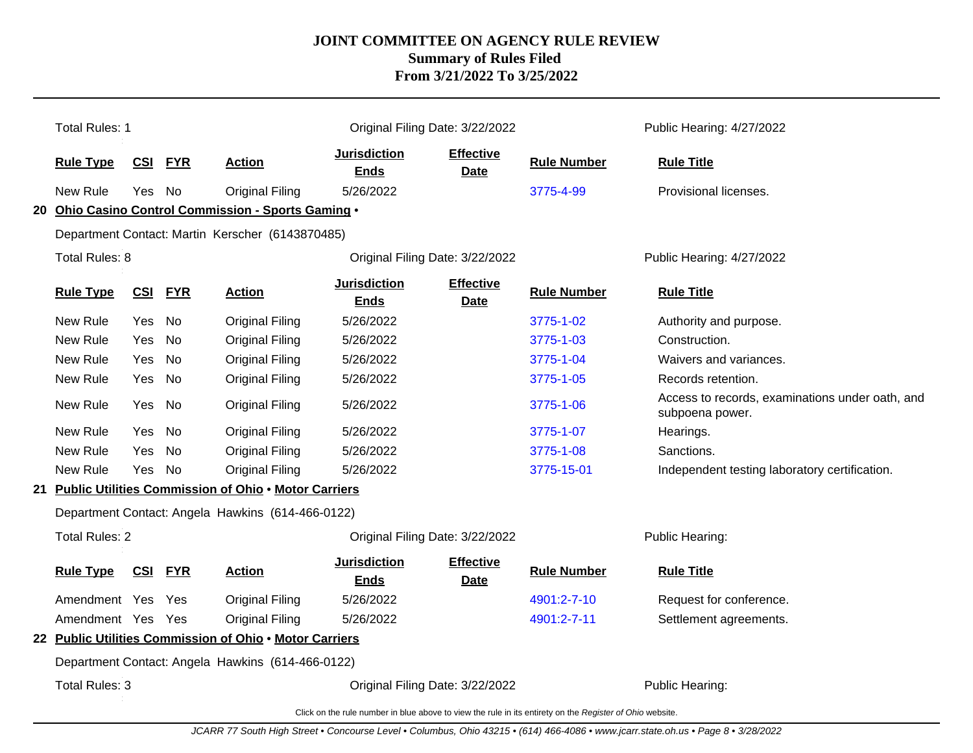|                                                                                                          | <b>Total Rules: 1</b>                                   |            |            |                                                         |                                    | Original Filing Date: 3/22/2022 |                    | Public Hearing: 4/27/2022                                          |
|----------------------------------------------------------------------------------------------------------|---------------------------------------------------------|------------|------------|---------------------------------------------------------|------------------------------------|---------------------------------|--------------------|--------------------------------------------------------------------|
|                                                                                                          | <b>Rule Type</b>                                        | <b>CSI</b> | <b>FYR</b> | <b>Action</b>                                           | <b>Jurisdiction</b><br><b>Ends</b> | <b>Effective</b><br>Date        | <b>Rule Number</b> | <b>Rule Title</b>                                                  |
|                                                                                                          | New Rule                                                | Yes.       | No         | Original Filing                                         | 5/26/2022                          |                                 | 3775-4-99          | Provisional licenses.                                              |
|                                                                                                          |                                                         |            |            | 20 Ohio Casino Control Commission - Sports Gaming .     |                                    |                                 |                    |                                                                    |
|                                                                                                          |                                                         |            |            | Department Contact: Martin Kerscher (6143870485)        |                                    |                                 |                    |                                                                    |
|                                                                                                          | Total Rules: 8                                          |            |            |                                                         |                                    | Original Filing Date: 3/22/2022 |                    | Public Hearing: 4/27/2022                                          |
|                                                                                                          | <b>Rule Type</b>                                        | <b>CSI</b> | <b>FYR</b> | <b>Action</b>                                           | <b>Jurisdiction</b><br><b>Ends</b> | <b>Effective</b><br><b>Date</b> | <b>Rule Number</b> | <b>Rule Title</b>                                                  |
|                                                                                                          | New Rule                                                | Yes.       | No         | <b>Original Filing</b>                                  | 5/26/2022                          |                                 | 3775-1-02          | Authority and purpose.                                             |
|                                                                                                          | New Rule                                                | Yes        | No.        | <b>Original Filing</b>                                  | 5/26/2022                          |                                 | 3775-1-03          | Construction.                                                      |
|                                                                                                          | New Rule                                                | Yes        | No.        | Original Filing                                         | 5/26/2022                          |                                 | 3775-1-04          | Waivers and variances.                                             |
|                                                                                                          | New Rule                                                | Yes        | No         | <b>Original Filing</b>                                  | 5/26/2022                          |                                 | 3775-1-05          | Records retention.                                                 |
|                                                                                                          | New Rule                                                | Yes        | No         | <b>Original Filing</b>                                  | 5/26/2022                          |                                 | 3775-1-06          | Access to records, examinations under oath, and<br>subpoena power. |
|                                                                                                          | New Rule                                                | Yes        | No         | <b>Original Filing</b>                                  | 5/26/2022                          |                                 | 3775-1-07          | Hearings.                                                          |
|                                                                                                          | New Rule                                                | Yes        | No         | <b>Original Filing</b>                                  | 5/26/2022                          |                                 | 3775-1-08          | Sanctions.                                                         |
|                                                                                                          | New Rule                                                | Yes        | No         | <b>Original Filing</b>                                  | 5/26/2022                          |                                 | 3775-15-01         | Independent testing laboratory certification.                      |
|                                                                                                          |                                                         |            |            | 21 Public Utilities Commission of Ohio . Motor Carriers |                                    |                                 |                    |                                                                    |
|                                                                                                          |                                                         |            |            | Department Contact: Angela Hawkins (614-466-0122)       |                                    |                                 |                    |                                                                    |
|                                                                                                          | <b>Total Rules: 2</b>                                   |            |            |                                                         | Original Filing Date: 3/22/2022    |                                 |                    | Public Hearing:                                                    |
|                                                                                                          | <b>Rule Type</b>                                        | <b>CSI</b> | <b>FYR</b> | <b>Action</b>                                           | <b>Jurisdiction</b><br><b>Ends</b> | <b>Effective</b><br>Date        | <b>Rule Number</b> | <b>Rule Title</b>                                                  |
|                                                                                                          | Amendment Yes                                           |            | Yes        | <b>Original Filing</b>                                  | 5/26/2022                          |                                 | 4901:2-7-10        | Request for conference.                                            |
|                                                                                                          | Amendment Yes Yes                                       |            |            | <b>Original Filing</b>                                  | 5/26/2022                          |                                 | 4901:2-7-11        | Settlement agreements.                                             |
|                                                                                                          | 22 Public Utilities Commission of Ohio . Motor Carriers |            |            |                                                         |                                    |                                 |                    |                                                                    |
| Department Contact: Angela Hawkins (614-466-0122)                                                        |                                                         |            |            |                                                         |                                    |                                 |                    |                                                                    |
|                                                                                                          | Total Rules: 3<br>Original Filing Date: 3/22/2022       |            |            |                                                         |                                    | Public Hearing:                 |                    |                                                                    |
| Click on the rule number in blue above to view the rule in its entirety on the Register of Ohio website. |                                                         |            |            |                                                         |                                    |                                 |                    |                                                                    |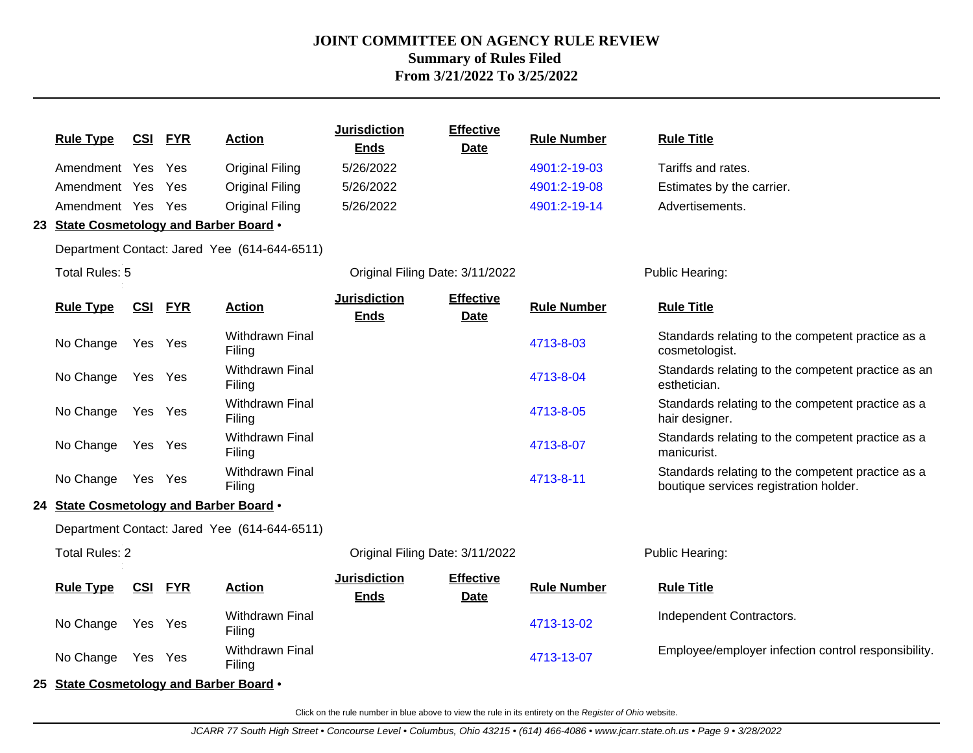| <b>Rule Type</b>                        | <b>CSI</b>     | <u>FYR</u> | <b>Action</b>                                | <b>Jurisdiction</b><br><b>Ends</b> | <b>Effective</b><br><b>Date</b> | <b>Rule Number</b> | <b>Rule Title</b>                                                                           |
|-----------------------------------------|----------------|------------|----------------------------------------------|------------------------------------|---------------------------------|--------------------|---------------------------------------------------------------------------------------------|
| Amendment Yes                           |                | Yes        | <b>Original Filing</b>                       | 5/26/2022                          |                                 | 4901:2-19-03       | Tariffs and rates.                                                                          |
| Amendment Yes                           |                | Yes        | <b>Original Filing</b>                       | 5/26/2022                          |                                 | 4901:2-19-08       | Estimates by the carrier.                                                                   |
| Amendment Yes Yes                       |                |            | <b>Original Filing</b>                       | 5/26/2022                          |                                 | 4901:2-19-14       | Advertisements.                                                                             |
| 23 State Cosmetology and Barber Board . |                |            |                                              |                                    |                                 |                    |                                                                                             |
|                                         |                |            | Department Contact: Jared Yee (614-644-6511) |                                    |                                 |                    |                                                                                             |
| Total Rules: 5                          |                |            |                                              | Original Filing Date: 3/11/2022    |                                 |                    | Public Hearing:                                                                             |
| <b>Rule Type</b>                        | <b>CSI FYR</b> |            | <b>Action</b>                                | <b>Jurisdiction</b><br><b>Ends</b> | <b>Effective</b><br><b>Date</b> | <b>Rule Number</b> | <b>Rule Title</b>                                                                           |
| No Change                               | Yes Yes        |            | Withdrawn Final<br>Filing                    |                                    |                                 | 4713-8-03          | Standards relating to the competent practice as a<br>cosmetologist.                         |
| No Change                               | Yes Yes        |            | Withdrawn Final<br>Filing                    |                                    |                                 | 4713-8-04          | Standards relating to the competent practice as an<br>esthetician.                          |
| No Change                               | Yes Yes        |            | <b>Withdrawn Final</b><br>Filing             |                                    |                                 | 4713-8-05          | Standards relating to the competent practice as a<br>hair designer.                         |
| No Change                               | Yes Yes        |            | <b>Withdrawn Final</b><br>Filing             |                                    |                                 | 4713-8-07          | Standards relating to the competent practice as a<br>manicurist.                            |
| No Change Yes Yes                       |                |            | <b>Withdrawn Final</b><br>Filing             |                                    |                                 | 4713-8-11          | Standards relating to the competent practice as a<br>boutique services registration holder. |
| 24 State Cosmetology and Barber Board . |                |            |                                              |                                    |                                 |                    |                                                                                             |
|                                         |                |            | Department Contact: Jared Yee (614-644-6511) |                                    |                                 |                    |                                                                                             |
| <b>Total Rules: 2</b>                   |                |            |                                              | Original Filing Date: 3/11/2022    |                                 |                    | Public Hearing:                                                                             |
| <b>Rule Type</b>                        | <b>CSI FYR</b> |            | <b>Action</b>                                | <b>Jurisdiction</b><br><b>Ends</b> | <b>Effective</b><br><b>Date</b> | <b>Rule Number</b> | <b>Rule Title</b>                                                                           |
| No Change                               | Yes Yes        |            | Withdrawn Final<br>Filing                    |                                    |                                 | 4713-13-02         | Independent Contractors.                                                                    |
| No Change                               | Yes Yes        |            | Withdrawn Final<br>Filing                    |                                    |                                 | 4713-13-07         | Employee/employer infection control responsibility.                                         |
| 25 State Cosmetology and Barber Board . |                |            |                                              |                                    |                                 |                    |                                                                                             |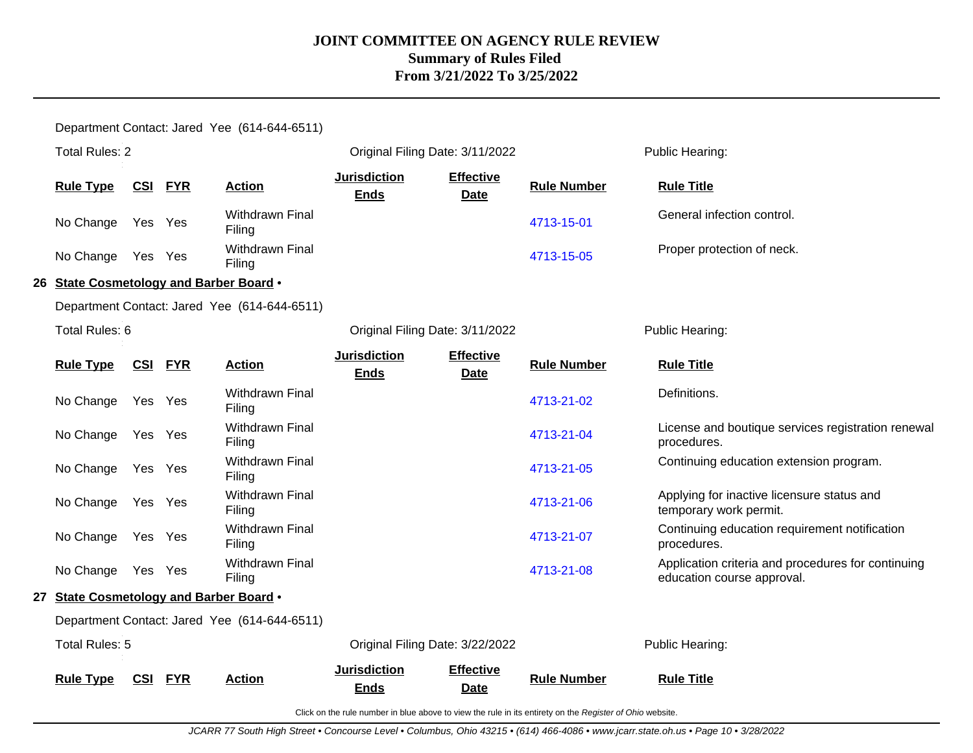Department Contact: Jared Yee (614-644-6511) Total Rules: 2 Original Filing Date: 3/11/2022 Public Hearing: **Rule Type CSI FYR Action Jurisdiction Ends Effective Date Rule Number Rule Title** No Change Yes Yes Withdrawn Final Withdrawn Final and the control. And the control of the [4713-15-01](http://www.registerofohio.state.oh.us/jsps/publicdisplayrules/processPublicDisplayRules.jsp?entered_rule_no=4713-15-01&doWhat=GETBYRULENUM&raID=0) General infection control.<br>Filing No Change Yes Yes Withdrawn Final [4713-15-05](http://www.registerofohio.state.oh.us/jsps/publicdisplayrules/processPublicDisplayRules.jsp?entered_rule_no=4713-15-05&doWhat=GETBYRULENUM&raID=0) Proper protection of neck. **26 State Cosmetology and Barber Board** • Department Contact: Jared Yee (614-644-6511) Total Rules: 6 **Communist Communist Communist Communist Communist Communist Communist Communist Communist Communist Communist Communist Public Hearing: Rule Type CSI FYR Action Jurisdiction Ends Effective Date Rule Number Rule Title** No Change Yes Yes Withdrawn Final Filing [4713-21-02](http://www.registerofohio.state.oh.us/jsps/publicdisplayrules/processPublicDisplayRules.jsp?entered_rule_no=4713-21-02&doWhat=GETBYRULENUM&raID=0) Definitions. No Change Yes Yes Withdrawn Final Filing [4713-21-04](http://www.registerofohio.state.oh.us/jsps/publicdisplayrules/processPublicDisplayRules.jsp?entered_rule_no=4713-21-04&doWhat=GETBYRULENUM&raID=0) License and boutique services registration renewal procedures. No Change Yes Yes Withdrawn Final Filing [4713-21-05](http://www.registerofohio.state.oh.us/jsps/publicdisplayrules/processPublicDisplayRules.jsp?entered_rule_no=4713-21-05&doWhat=GETBYRULENUM&raID=0) Continuing education extension program. No Change Yes Yes Withdrawn Final Filing [4713-21-06](http://www.registerofohio.state.oh.us/jsps/publicdisplayrules/processPublicDisplayRules.jsp?entered_rule_no=4713-21-06&doWhat=GETBYRULENUM&raID=0) Applying for inactive licensure status and temporary work permit. No Change Yes Yes Withdrawn Final Filing [4713-21-07](http://www.registerofohio.state.oh.us/jsps/publicdisplayrules/processPublicDisplayRules.jsp?entered_rule_no=4713-21-07&doWhat=GETBYRULENUM&raID=0) Continuing education requirement notification procedures. No Change Yes Yes Withdrawn Final Filing [4713-21-08](http://www.registerofohio.state.oh.us/jsps/publicdisplayrules/processPublicDisplayRules.jsp?entered_rule_no=4713-21-08&doWhat=GETBYRULENUM&raID=0) Application criteria and procedures for continuing education course approval. **27 State Cosmetology and Barber Board** • Department Contact: Jared Yee (614-644-6511) Total Rules: 5 Original Filing Date: 3/22/2022 Public Hearing: **Rule Type CSI FYR Action Jurisdiction Ends Effective Date Rule Number Rule Title**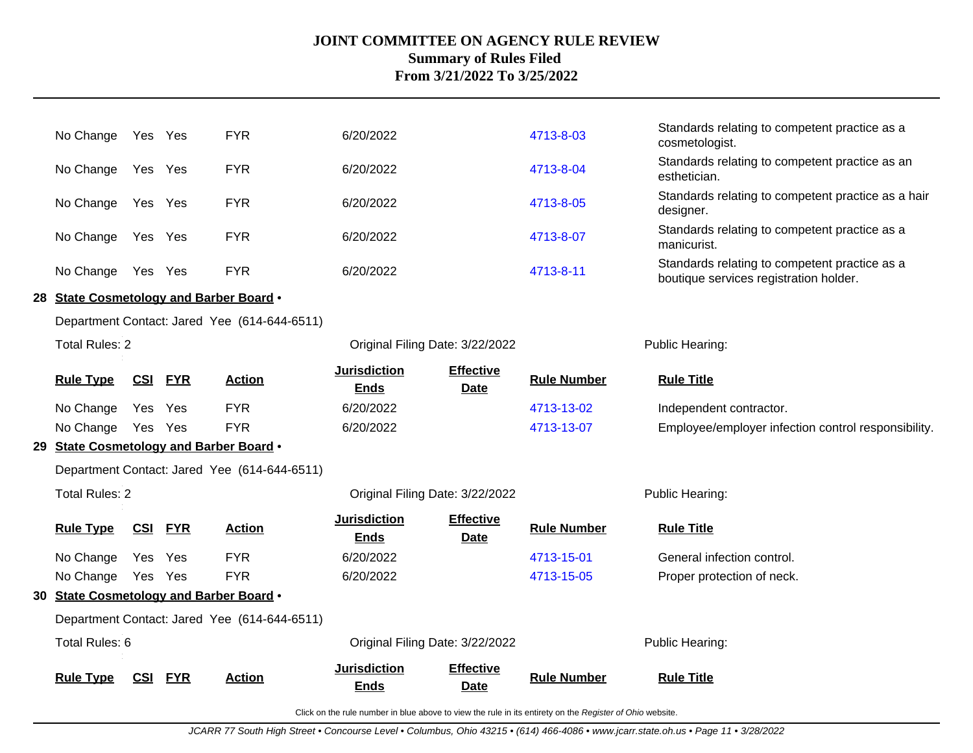| No Change                               |            | Yes Yes    | <b>FYR</b>                                   | 6/20/2022                          |                                 | 4713-8-03          | Standards relating to competent practice as a<br>cosmetologist.                         |
|-----------------------------------------|------------|------------|----------------------------------------------|------------------------------------|---------------------------------|--------------------|-----------------------------------------------------------------------------------------|
| No Change                               | Yes Yes    |            | <b>FYR</b>                                   | 6/20/2022                          |                                 | 4713-8-04          | Standards relating to competent practice as an<br>esthetician.                          |
| No Change                               | Yes Yes    |            | <b>FYR</b>                                   | 6/20/2022                          |                                 | 4713-8-05          | Standards relating to competent practice as a hair<br>designer.                         |
| No Change                               | Yes Yes    |            | <b>FYR</b>                                   | 6/20/2022                          |                                 | 4713-8-07          | Standards relating to competent practice as a<br>manicurist.                            |
| No Change                               | Yes Yes    |            | <b>FYR</b>                                   | 6/20/2022                          |                                 | 4713-8-11          | Standards relating to competent practice as a<br>boutique services registration holder. |
| 28 State Cosmetology and Barber Board . |            |            |                                              |                                    |                                 |                    |                                                                                         |
|                                         |            |            | Department Contact: Jared Yee (614-644-6511) |                                    |                                 |                    |                                                                                         |
| Total Rules: 2                          |            |            |                                              | Original Filing Date: 3/22/2022    |                                 |                    | Public Hearing:                                                                         |
| <b>Rule Type</b>                        | <u>CSI</u> | <b>FYR</b> | <b>Action</b>                                | <b>Jurisdiction</b><br><b>Ends</b> | <b>Effective</b><br><b>Date</b> | <b>Rule Number</b> | <b>Rule Title</b>                                                                       |
| No Change                               | Yes        | Yes        | <b>FYR</b>                                   | 6/20/2022                          |                                 | 4713-13-02         | Independent contractor.                                                                 |
| No Change                               | Yes Yes    |            | <b>FYR</b>                                   | 6/20/2022                          |                                 | 4713-13-07         | Employee/employer infection control responsibility.                                     |
| 29 State Cosmetology and Barber Board . |            |            |                                              |                                    |                                 |                    |                                                                                         |
|                                         |            |            | Department Contact: Jared Yee (614-644-6511) |                                    |                                 |                    |                                                                                         |
| <b>Total Rules: 2</b>                   |            |            |                                              | Original Filing Date: 3/22/2022    |                                 |                    | Public Hearing:                                                                         |
| <b>Rule Type</b>                        | <u>CSI</u> | <b>FYR</b> | <b>Action</b>                                | <b>Jurisdiction</b><br><b>Ends</b> | <b>Effective</b><br><b>Date</b> | <b>Rule Number</b> | <b>Rule Title</b>                                                                       |
| No Change                               | Yes        | Yes        | <b>FYR</b>                                   | 6/20/2022                          |                                 | 4713-15-01         | General infection control.                                                              |
| No Change                               | Yes Yes    |            | <b>FYR</b>                                   | 6/20/2022                          |                                 | 4713-15-05         | Proper protection of neck.                                                              |
| 30 State Cosmetology and Barber Board . |            |            |                                              |                                    |                                 |                    |                                                                                         |
|                                         |            |            | Department Contact: Jared Yee (614-644-6511) |                                    |                                 |                    |                                                                                         |
| Total Rules: 6                          |            |            |                                              | Original Filing Date: 3/22/2022    |                                 |                    | Public Hearing:                                                                         |
| <b>Rule Type</b>                        | <u>CSI</u> | <b>FYR</b> | <b>Action</b>                                | <b>Jurisdiction</b><br><b>Ends</b> | <b>Effective</b><br><b>Date</b> | <b>Rule Number</b> | <b>Rule Title</b>                                                                       |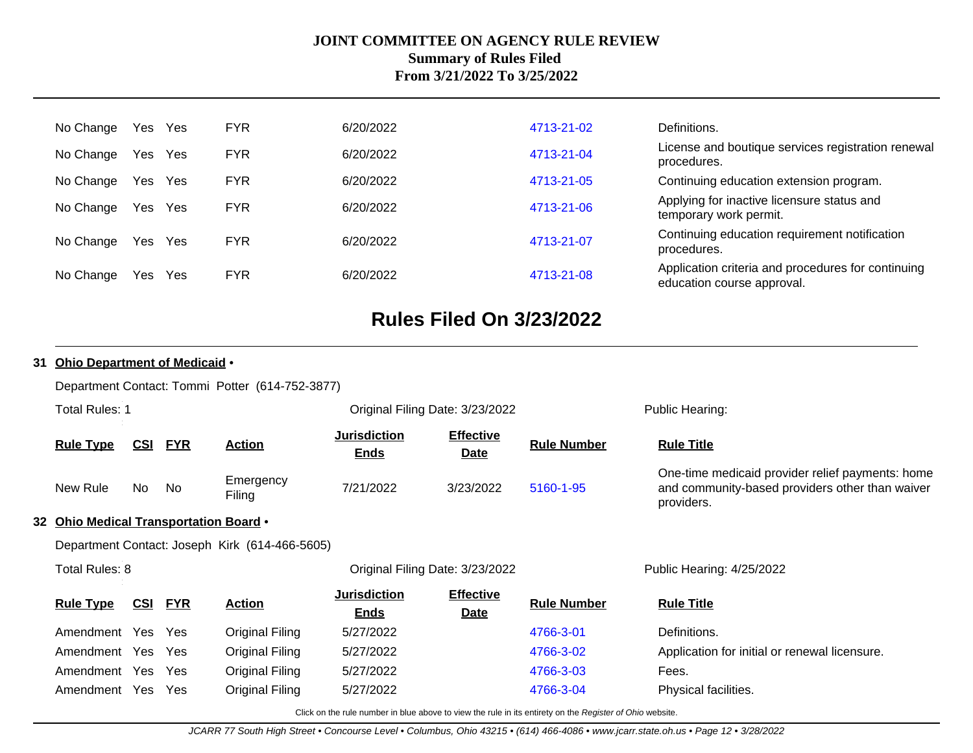| No Change | Yes | Yes | <b>FYR</b> | 6/20/2022 | 4713-21-02 | Definitions.                                                                     |
|-----------|-----|-----|------------|-----------|------------|----------------------------------------------------------------------------------|
| No Change | Yes | Yes | <b>FYR</b> | 6/20/2022 | 4713-21-04 | License and boutique services registration renewal<br>procedures.                |
| No Change | Yes | Yes | <b>FYR</b> | 6/20/2022 | 4713-21-05 | Continuing education extension program.                                          |
| No Change | Yes | Yes | <b>FYR</b> | 6/20/2022 | 4713-21-06 | Applying for inactive licensure status and<br>temporary work permit.             |
| No Change | Yes | Yes | <b>FYR</b> | 6/20/2022 | 4713-21-07 | Continuing education requirement notification<br>procedures.                     |
| No Change | Yes | Yes | <b>FYR</b> | 6/20/2022 | 4713-21-08 | Application criteria and procedures for continuing<br>education course approval. |

# **Rules Filed On 3/23/2022**

### **31 Ohio Department of Medicaid** •

Department Contact: Tommi Potter (614-752-3877)

| <b>Total Rules: 1</b>                  |            |            |                                                | Original Filing Date: 3/23/2022    |                                 | Public Hearing:    |                                                                                                                   |  |
|----------------------------------------|------------|------------|------------------------------------------------|------------------------------------|---------------------------------|--------------------|-------------------------------------------------------------------------------------------------------------------|--|
| <b>Rule Type</b>                       | CSI        | <b>FYR</b> | <b>Action</b>                                  | <b>Jurisdiction</b><br><b>Ends</b> | <b>Effective</b><br><b>Date</b> | <b>Rule Number</b> | <b>Rule Title</b>                                                                                                 |  |
| New Rule                               | No         | No         | Emergency<br>Filing                            | 7/21/2022                          | 3/23/2022                       | 5160-1-95          | One-time medicaid provider relief payments: home<br>and community-based providers other than waiver<br>providers. |  |
| 32 Ohio Medical Transportation Board . |            |            |                                                |                                    |                                 |                    |                                                                                                                   |  |
|                                        |            |            | Department Contact: Joseph Kirk (614-466-5605) |                                    |                                 |                    |                                                                                                                   |  |
| Total Rules: 8                         |            |            |                                                | Original Filing Date: 3/23/2022    |                                 |                    | Public Hearing: 4/25/2022                                                                                         |  |
| <b>Rule Type</b>                       | <u>CSI</u> | <b>FYR</b> | <b>Action</b>                                  | <b>Jurisdiction</b><br><b>Ends</b> | <b>Effective</b><br><b>Date</b> | <b>Rule Number</b> | <b>Rule Title</b>                                                                                                 |  |
| Amendment Yes                          |            | Yes        | <b>Original Filing</b>                         | 5/27/2022                          |                                 | 4766-3-01          | Definitions.                                                                                                      |  |
| Amendment                              | Yes        | <b>Yes</b> | Original Filing                                | 5/27/2022                          |                                 | 4766-3-02          | Application for initial or renewal licensure.                                                                     |  |
| Amendment Yes Yes                      |            |            | <b>Original Filing</b>                         | 5/27/2022                          |                                 | 4766-3-03          | Fees.                                                                                                             |  |

Click on the rule number in blue above to view the rule in its entirety on the Register of Ohio website.

Amendment Yes Yes Original Filing 5/27/2022 [4766-3-04](http://www.registerofohio.state.oh.us/jsps/publicdisplayrules/processPublicDisplayRules.jsp?entered_rule_no=4766-3-04&doWhat=GETBYRULENUM&raID=0) Physical facilities.

JCARR 77 South High Street • Concourse Level • Columbus, Ohio 43215 • (614) 466-4086 • www.jcarr.state.oh.us • Page 12 • 3/28/2022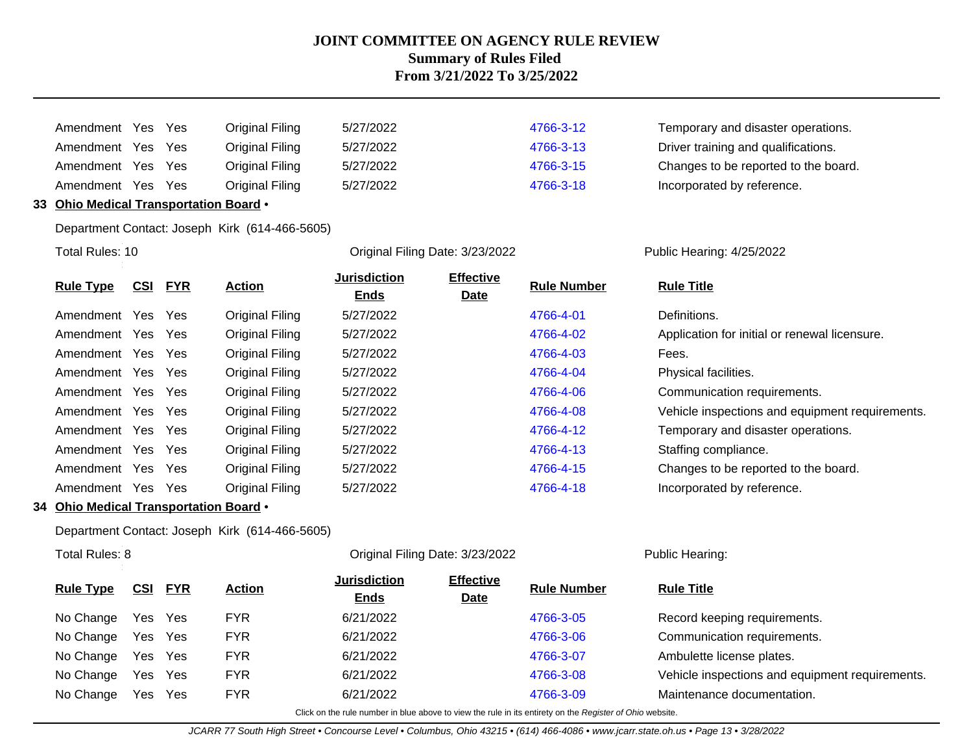| Amendment Yes |      | Yes | Original Filing | 5/27/2022 | 4766-3-12 | Temporary and disaster operations.   |
|---------------|------|-----|-----------------|-----------|-----------|--------------------------------------|
| Amendment Yes |      | Yes | Original Filing | 5/27/2022 | 4766-3-13 | Driver training and qualifications.  |
| Amendment Yes |      | Yes | Original Filing | 5/27/2022 | 4766-3-15 | Changes to be reported to the board. |
| Amendment     | Yes. | Yes | Original Filing | 5/27/2022 | 4766-3-18 | Incorporated by reference.           |

### **33 Ohio Medical Transportation Board** •

Department Contact: Joseph Kirk (614-466-5605)

Total Rules: 10

Original Filing Date: 3/23/2022 Public Hearing: 4/25/2022

| <b>Rule Type</b>  | <u>CSI</u> | <u>FYR</u> | <b>Action</b>   | <b>Jurisdiction</b> | <b>Effective</b> | <b>Rule Number</b> | <b>Rule Title</b>                               |
|-------------------|------------|------------|-----------------|---------------------|------------------|--------------------|-------------------------------------------------|
|                   |            |            |                 | <b>Ends</b>         | <b>Date</b>      |                    |                                                 |
| Amendment         | Yes        | Yes        | Original Filing | 5/27/2022           |                  | 4766-4-01          | Definitions.                                    |
| Amendment         | Yes Yes    |            | Original Filing | 5/27/2022           |                  | 4766-4-02          | Application for initial or renewal licensure.   |
| Amendment         | Yes Yes    |            | Original Filing | 5/27/2022           |                  | 4766-4-03          | Fees.                                           |
| Amendment Yes Yes |            |            | Original Filing | 5/27/2022           |                  | 4766-4-04          | Physical facilities.                            |
| Amendment Yes Yes |            |            | Original Filing | 5/27/2022           |                  | 4766-4-06          | Communication requirements.                     |
| Amendment Yes     |            | Yes        | Original Filing | 5/27/2022           |                  | 4766-4-08          | Vehicle inspections and equipment requirements. |
| Amendment         | Yes        | Yes        | Original Filing | 5/27/2022           |                  | 4766-4-12          | Temporary and disaster operations.              |
| Amendment         | Yes        | Yes        | Original Filing | 5/27/2022           |                  | 4766-4-13          | Staffing compliance.                            |
| Amendment         | Yes        | <b>Yes</b> | Original Filing | 5/27/2022           |                  | 4766-4-15          | Changes to be reported to the board.            |
| Amendment         | Yes        | <b>Yes</b> | Original Filing | 5/27/2022           |                  | 4766-4-18          | Incorporated by reference.                      |
|                   |            |            |                 |                     |                  |                    |                                                 |

#### **34 Ohio Medical Transportation Board** •

Department Contact: Joseph Kirk (614-466-5605)

Total Rules: 8

### Original Filing Date: 3/23/2022 Public Hearing:

| <b>Rule Type</b> | <b>CSI FYR</b> |     | <b>Action</b> | <b>Jurisdiction</b><br><b>Ends</b> | <b>Effective</b><br><b>Date</b> | <b>Rule Number</b> | <b>Rule Title</b>                               |
|------------------|----------------|-----|---------------|------------------------------------|---------------------------------|--------------------|-------------------------------------------------|
| No Change        | Yes Yes        |     | FYR.          | 6/21/2022                          |                                 | 4766-3-05          | Record keeping requirements.                    |
| No Change        | Yes Yes        |     | <b>FYR</b>    | 6/21/2022                          |                                 | 4766-3-06          | Communication requirements.                     |
| No Change        | Yes Yes        |     | <b>FYR</b>    | 6/21/2022                          |                                 | 4766-3-07          | Ambulette license plates.                       |
| No Change        | Yes            | Yes | <b>FYR</b>    | 6/21/2022                          |                                 | 4766-3-08          | Vehicle inspections and equipment requirements. |
| No Change        | Yes            | Yes | <b>FYR</b>    | 6/21/2022                          |                                 | 4766-3-09          | Maintenance documentation.                      |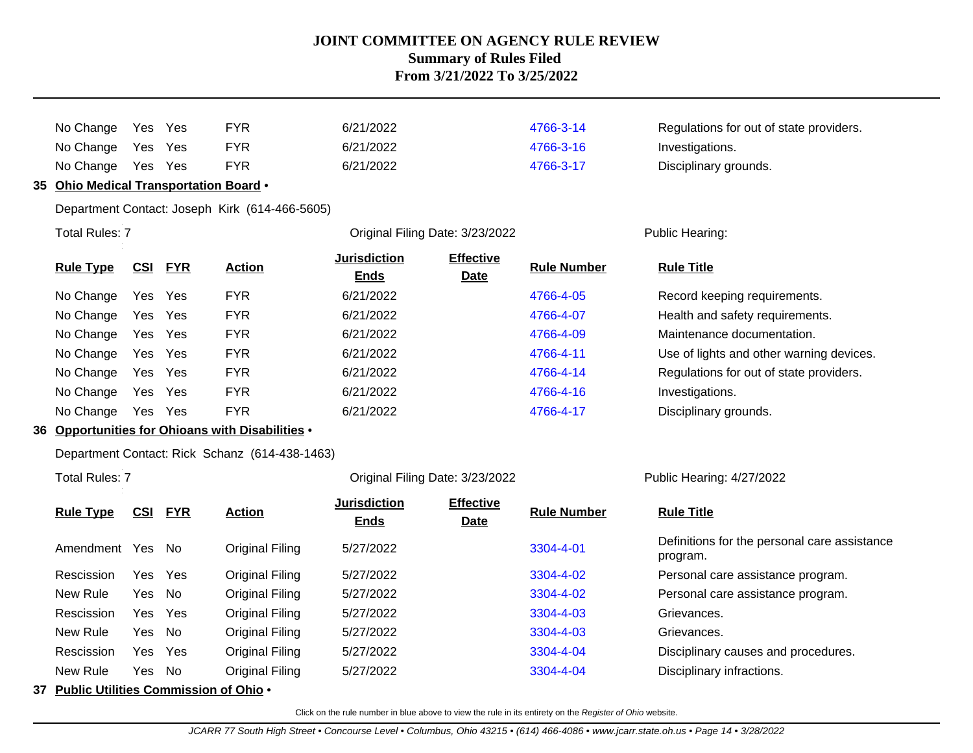|    | No Change                           | Yes        | Yes        | <b>FYR</b>                                     | 6/21/2022                       |                                 | 4766-3-14          | Regulations for out of state providers.  |
|----|-------------------------------------|------------|------------|------------------------------------------------|---------------------------------|---------------------------------|--------------------|------------------------------------------|
|    | No Change                           | Yes        | Yes        | <b>FYR</b>                                     | 6/21/2022                       |                                 | 4766-3-16          | Investigations.                          |
|    | No Change                           | Yes        | Yes        | <b>FYR</b>                                     | 6/21/2022                       |                                 | 4766-3-17          | Disciplinary grounds.                    |
| 35 | Ohio Medical Transportation Board . |            |            |                                                |                                 |                                 |                    |                                          |
|    |                                     |            |            | Department Contact: Joseph Kirk (614-466-5605) |                                 |                                 |                    |                                          |
|    | <b>Total Rules: 7</b>               |            |            |                                                | Original Filing Date: 3/23/2022 |                                 |                    | Public Hearing:                          |
|    | <b>Rule Type</b>                    | <u>CSI</u> | <b>FYR</b> | <b>Action</b>                                  | Jurisdiction<br>Ends            | <b>Effective</b><br><b>Date</b> | <b>Rule Number</b> | <b>Rule Title</b>                        |
|    | No Change                           | Yes        | Yes        | <b>FYR</b>                                     | 6/21/2022                       |                                 | 4766-4-05          | Record keeping requirements.             |
|    | No Change                           | Yes        | Yes        | <b>FYR</b>                                     | 6/21/2022                       |                                 | 4766-4-07          | Health and safety requirements.          |
|    | No Change                           | Yes        | Yes        | <b>FYR</b>                                     | 6/21/2022                       |                                 | 4766-4-09          | Maintenance documentation.               |
|    | No Change                           | Yes        | <b>Yes</b> | <b>FYR</b>                                     | 6/21/2022                       |                                 | 4766-4-11          | Use of lights and other warning devices. |
|    | No Change                           | Yes        | Yes        | <b>FYR</b>                                     | 6/21/2022                       |                                 | 4766-4-14          | Regulations for out of state providers.  |
|    | No Change                           | Yes        | <b>Yes</b> | <b>FYR</b>                                     | 6/21/2022                       |                                 | 4766-4-16          | Investigations.                          |
|    | No Change                           | Yes        | Yes        | <b>FYR</b>                                     | 6/21/2022                       |                                 | 4766-4-17          | Disciplinary grounds.                    |
|    |                                     |            |            |                                                |                                 |                                 |                    |                                          |

### **36 Opportunities for Ohioans with Disabilities** •

Department Contact: Rick Schanz (614-438-1463)

Total Rules: 7

Original Filing Date: 3/23/2022 Public Hearing: 4/27/2022

| <b>Rule Type</b> | <u>CSI</u> | <b>FYR</b> | <b>Action</b>   | <b>Jurisdiction</b><br><b>Ends</b> | <b>Effective</b><br><b>Date</b> | <b>Rule Number</b> | <b>Rule Title</b>                                        |
|------------------|------------|------------|-----------------|------------------------------------|---------------------------------|--------------------|----------------------------------------------------------|
| Amendment        | Yes        | - No       | Original Filing | 5/27/2022                          |                                 | 3304-4-01          | Definitions for the personal care assistance<br>program. |
| Rescission       |            | Yes Yes    | Original Filing | 5/27/2022                          |                                 | 3304-4-02          | Personal care assistance program.                        |
| New Rule         | Yes No     |            | Original Filing | 5/27/2022                          |                                 | 3304-4-02          | Personal care assistance program.                        |
| Rescission       |            | Yes Yes    | Original Filing | 5/27/2022                          |                                 | 3304-4-03          | Grievances.                                              |
| New Rule         | Yes No     |            | Original Filing | 5/27/2022                          |                                 | 3304-4-03          | Grievances.                                              |
| Rescission       |            | Yes Yes    | Original Filing | 5/27/2022                          |                                 | 3304-4-04          | Disciplinary causes and procedures.                      |
| New Rule         | Yes No     |            | Original Filing | 5/27/2022                          |                                 | 3304-4-04          | Disciplinary infractions.                                |
|                  |            |            | - - - -         |                                    |                                 |                    |                                                          |

**37 Public Utilities Commission of Ohio** •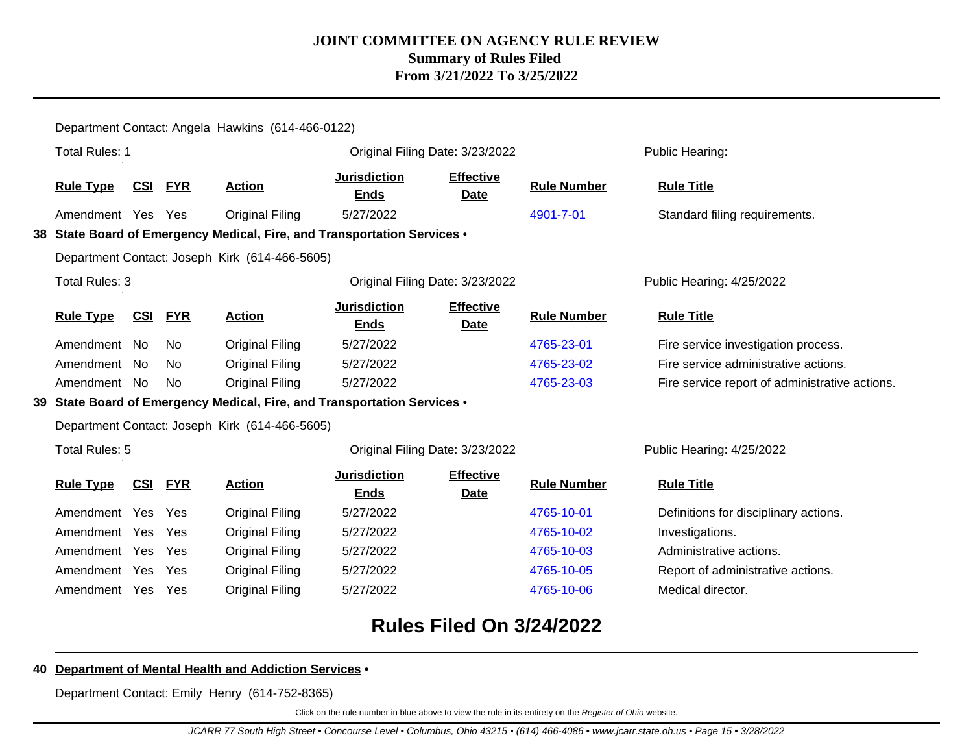|                                                |                                                          | Department Contact: Angela Hawkins (614-466-0122) |            |                                                |                                                                          |                                 |                    |                                                |  |  |  |  |
|------------------------------------------------|----------------------------------------------------------|---------------------------------------------------|------------|------------------------------------------------|--------------------------------------------------------------------------|---------------------------------|--------------------|------------------------------------------------|--|--|--|--|
|                                                | <b>Total Rules: 1</b>                                    |                                                   |            |                                                | Original Filing Date: 3/23/2022                                          |                                 |                    | Public Hearing:                                |  |  |  |  |
|                                                | <b>Rule Type</b>                                         | <b>CSI</b>                                        | <b>FYR</b> | <b>Action</b>                                  | <b>Jurisdiction</b><br><b>Ends</b>                                       | <b>Effective</b><br>Date        | <b>Rule Number</b> | <b>Rule Title</b>                              |  |  |  |  |
|                                                | Amendment Yes Yes                                        |                                                   |            | Original Filing                                | 5/27/2022                                                                |                                 | 4901-7-01          | Standard filing requirements.                  |  |  |  |  |
|                                                |                                                          |                                                   |            |                                                | 38 State Board of Emergency Medical, Fire, and Transportation Services . |                                 |                    |                                                |  |  |  |  |
| Department Contact: Joseph Kirk (614-466-5605) |                                                          |                                                   |            |                                                |                                                                          |                                 |                    |                                                |  |  |  |  |
|                                                | <b>Total Rules: 3</b><br>Original Filing Date: 3/23/2022 |                                                   |            |                                                |                                                                          |                                 |                    | Public Hearing: 4/25/2022                      |  |  |  |  |
|                                                | <b>Rule Type</b>                                         | <u>CSI</u>                                        | <b>FYR</b> | <b>Action</b>                                  | <b>Jurisdiction</b><br><b>Ends</b>                                       | <b>Effective</b><br><b>Date</b> | <b>Rule Number</b> | <b>Rule Title</b>                              |  |  |  |  |
|                                                | Amendment No                                             |                                                   | No.        | <b>Original Filing</b>                         | 5/27/2022                                                                |                                 | 4765-23-01         | Fire service investigation process.            |  |  |  |  |
|                                                | Amendment No                                             |                                                   | No.        | Original Filing                                | 5/27/2022                                                                |                                 | 4765-23-02         | Fire service administrative actions.           |  |  |  |  |
|                                                | Amendment No                                             |                                                   | No.        | <b>Original Filing</b>                         | 5/27/2022                                                                |                                 | 4765-23-03         | Fire service report of administrative actions. |  |  |  |  |
|                                                |                                                          |                                                   |            |                                                | 39 State Board of Emergency Medical, Fire, and Transportation Services . |                                 |                    |                                                |  |  |  |  |
|                                                |                                                          |                                                   |            | Department Contact: Joseph Kirk (614-466-5605) |                                                                          |                                 |                    |                                                |  |  |  |  |
|                                                | Total Rules: 5                                           |                                                   |            |                                                | Original Filing Date: 3/23/2022                                          |                                 |                    | Public Hearing: 4/25/2022                      |  |  |  |  |
|                                                | <b>Rule Type</b>                                         | <b>CSI</b>                                        | <b>FYR</b> | <b>Action</b>                                  | <b>Jurisdiction</b><br><b>Ends</b>                                       | <b>Effective</b><br><b>Date</b> | <b>Rule Number</b> | <b>Rule Title</b>                              |  |  |  |  |
|                                                | Amendment Yes                                            |                                                   | Yes        | Original Filing                                | 5/27/2022                                                                |                                 | 4765-10-01         | Definitions for disciplinary actions.          |  |  |  |  |
|                                                | Amendment Yes Yes                                        |                                                   |            | Original Filing                                | 5/27/2022                                                                |                                 | 4765-10-02         | Investigations.                                |  |  |  |  |
|                                                | Amendment Yes Yes                                        |                                                   |            | Original Filing                                | 5/27/2022                                                                |                                 | 4765-10-03         | Administrative actions.                        |  |  |  |  |
|                                                | Amendment Yes Yes                                        |                                                   |            | Original Filing                                | 5/27/2022                                                                |                                 | 4765-10-05         | Report of administrative actions.              |  |  |  |  |
|                                                | Amendment Yes Yes                                        |                                                   |            | <b>Original Filing</b>                         | 5/27/2022                                                                |                                 | 4765-10-06         | Medical director.                              |  |  |  |  |

# **Rules Filed On 3/24/2022**

### **40 Department of Mental Health and Addiction Services** •

Department Contact: Emily Henry (614-752-8365)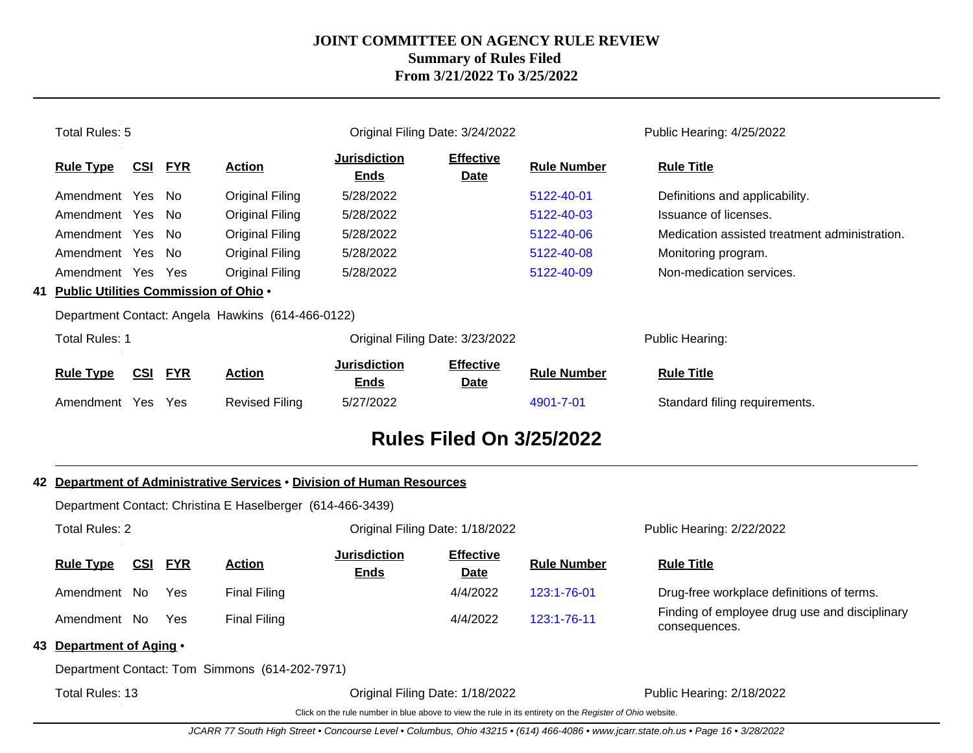| Total Rules: 5                           |            |            |                                                   |                                    | Original Filing Date: 3/24/2022 |                    | Public Hearing: 4/25/2022                     |  |
|------------------------------------------|------------|------------|---------------------------------------------------|------------------------------------|---------------------------------|--------------------|-----------------------------------------------|--|
| <b>Rule Type</b>                         | CSI        | <b>FYR</b> | <b>Action</b>                                     | <b>Jurisdiction</b><br><u>Ends</u> | <b>Effective</b><br><b>Date</b> | <b>Rule Number</b> | <b>Rule Title</b>                             |  |
| Amendment Yes                            |            | - No       | Original Filing                                   | 5/28/2022                          |                                 | 5122-40-01         | Definitions and applicability.                |  |
| Amendment Yes                            |            | No.        | Original Filing                                   | 5/28/2022                          |                                 | 5122-40-03         | Issuance of licenses.                         |  |
| Amendment Yes                            |            | No.        | Original Filing                                   | 5/28/2022                          |                                 | 5122-40-06         | Medication assisted treatment administration. |  |
| Amendment Yes                            |            | No.        | Original Filing                                   | 5/28/2022                          |                                 | 5122-40-08         | Monitoring program.                           |  |
| Amendment Yes                            |            | Yes        | Original Filing                                   | 5/28/2022                          |                                 | 5122-40-09         | Non-medication services.                      |  |
| 41 Public Utilities Commission of Ohio . |            |            |                                                   |                                    |                                 |                    |                                               |  |
|                                          |            |            | Department Contact: Angela Hawkins (614-466-0122) |                                    |                                 |                    |                                               |  |
| <b>Total Rules: 1</b>                    |            |            |                                                   | Original Filing Date: 3/23/2022    |                                 |                    | Public Hearing:                               |  |
| <b>Rule Type</b>                         | <u>CSI</u> | <b>FYR</b> | <b>Action</b>                                     | <b>Jurisdiction</b><br><b>Ends</b> | <b>Effective</b><br><b>Date</b> | <b>Rule Number</b> | <b>Rule Title</b>                             |  |
| Amendment Yes                            |            | Yes        | <b>Revised Filing</b>                             | 5/27/2022                          |                                 | 4901-7-01          | Standard filing requirements.                 |  |
|                                          |            |            |                                                   |                                    | <b>Rules Filed On 3/25/2022</b> |                    |                                               |  |

|                 |                                                        | Department Contact: Christina E Haselberger (614-466-3439) |            |                                                |                                                                                                          |                                 |                    |                                                                |  |  |  |  |  |
|-----------------|--------------------------------------------------------|------------------------------------------------------------|------------|------------------------------------------------|----------------------------------------------------------------------------------------------------------|---------------------------------|--------------------|----------------------------------------------------------------|--|--|--|--|--|
|                 | Total Rules: 2                                         |                                                            |            |                                                |                                                                                                          | Original Filing Date: 1/18/2022 |                    | Public Hearing: 2/22/2022                                      |  |  |  |  |  |
|                 | CSI<br><b>FYR</b><br><b>Action</b><br><b>Rule Type</b> |                                                            |            |                                                | <b>Jurisdiction</b><br><b>Ends</b>                                                                       | <b>Effective</b><br>Date        | <b>Rule Number</b> | <b>Rule Title</b>                                              |  |  |  |  |  |
|                 | Amendment No                                           |                                                            | Yes        | <b>Final Filing</b>                            |                                                                                                          | 4/4/2022                        | 123:1-76-01        | Drug-free workplace definitions of terms.                      |  |  |  |  |  |
|                 | Amendment No                                           |                                                            | <b>Yes</b> | <b>Final Filing</b>                            |                                                                                                          | 4/4/2022                        | 123:1-76-11        | Finding of employee drug use and disciplinary<br>consequences. |  |  |  |  |  |
|                 | 43 Department of Aging •                               |                                                            |            |                                                |                                                                                                          |                                 |                    |                                                                |  |  |  |  |  |
|                 |                                                        |                                                            |            | Department Contact: Tom Simmons (614-202-7971) |                                                                                                          |                                 |                    |                                                                |  |  |  |  |  |
| Total Rules: 13 |                                                        |                                                            |            |                                                |                                                                                                          | Original Filing Date: 1/18/2022 |                    | Public Hearing: 2/18/2022                                      |  |  |  |  |  |
|                 |                                                        |                                                            |            |                                                | Click on the rule number in blue above to view the rule in its entirety on the Register of Ohio website. |                                 |                    |                                                                |  |  |  |  |  |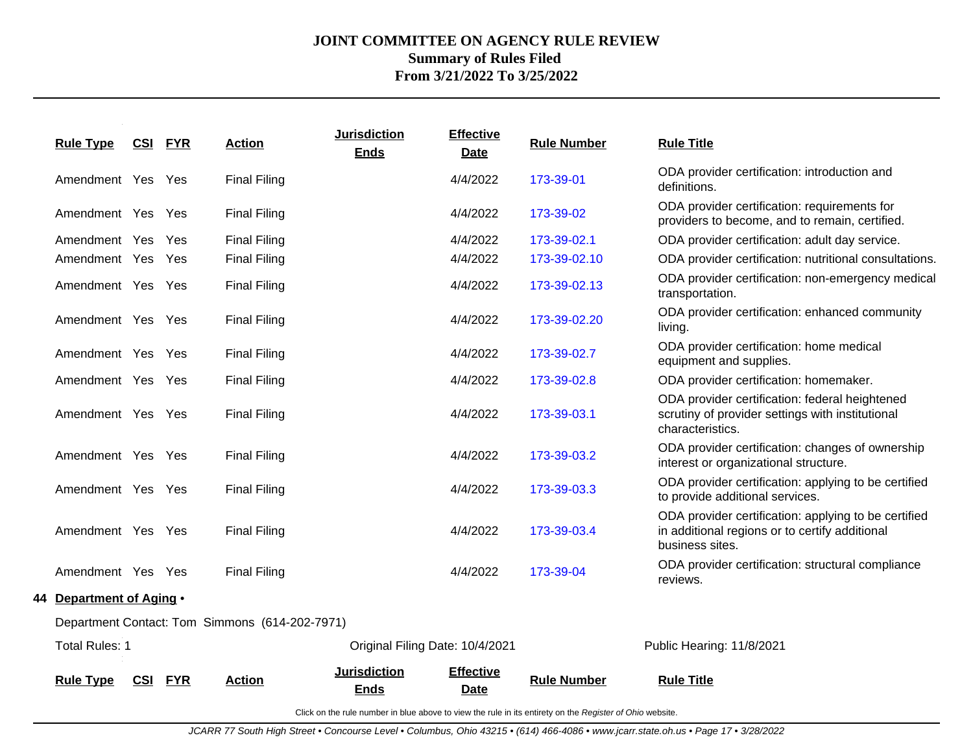| <b>Rule Type</b>         | <u>CSI</u> | <b>FYR</b> | <b>Action</b>                                  | <b>Jurisdiction</b><br><b>Ends</b> | <b>Effective</b><br>Date        | <b>Rule Number</b> | <b>Rule Title</b>                                                                                                         |
|--------------------------|------------|------------|------------------------------------------------|------------------------------------|---------------------------------|--------------------|---------------------------------------------------------------------------------------------------------------------------|
| Amendment Yes Yes        |            |            | <b>Final Filing</b>                            |                                    | 4/4/2022                        | 173-39-01          | ODA provider certification: introduction and<br>definitions.                                                              |
| Amendment Yes Yes        |            |            | <b>Final Filing</b>                            |                                    | 4/4/2022                        | 173-39-02          | ODA provider certification: requirements for<br>providers to become, and to remain, certified.                            |
| Amendment Yes Yes        |            |            | <b>Final Filing</b>                            |                                    | 4/4/2022                        | 173-39-02.1        | ODA provider certification: adult day service.                                                                            |
| Amendment Yes Yes        |            |            | <b>Final Filing</b>                            |                                    | 4/4/2022                        | 173-39-02.10       | ODA provider certification: nutritional consultations.                                                                    |
| Amendment Yes Yes        |            |            | <b>Final Filing</b>                            |                                    | 4/4/2022                        | 173-39-02.13       | ODA provider certification: non-emergency medical<br>transportation.                                                      |
| Amendment Yes Yes        |            |            | <b>Final Filing</b>                            |                                    | 4/4/2022                        | 173-39-02.20       | ODA provider certification: enhanced community<br>living.                                                                 |
| Amendment Yes Yes        |            |            | <b>Final Filing</b>                            |                                    | 4/4/2022                        | 173-39-02.7        | ODA provider certification: home medical<br>equipment and supplies.                                                       |
| Amendment Yes Yes        |            |            | <b>Final Filing</b>                            |                                    | 4/4/2022                        | 173-39-02.8        | ODA provider certification: homemaker.                                                                                    |
| Amendment Yes Yes        |            |            | <b>Final Filing</b>                            |                                    | 4/4/2022                        | 173-39-03.1        | ODA provider certification: federal heightened<br>scrutiny of provider settings with institutional<br>characteristics.    |
| Amendment Yes Yes        |            |            | <b>Final Filing</b>                            |                                    | 4/4/2022                        | 173-39-03.2        | ODA provider certification: changes of ownership<br>interest or organizational structure.                                 |
| Amendment Yes Yes        |            |            | <b>Final Filing</b>                            |                                    | 4/4/2022                        | 173-39-03.3        | ODA provider certification: applying to be certified<br>to provide additional services.                                   |
| Amendment Yes Yes        |            |            | <b>Final Filing</b>                            |                                    | 4/4/2022                        | 173-39-03.4        | ODA provider certification: applying to be certified<br>in additional regions or to certify additional<br>business sites. |
| Amendment Yes Yes        |            |            | <b>Final Filing</b>                            |                                    | 4/4/2022                        | 173-39-04          | ODA provider certification: structural compliance<br>reviews.                                                             |
| 44 Department of Aging . |            |            |                                                |                                    |                                 |                    |                                                                                                                           |
|                          |            |            | Department Contact: Tom Simmons (614-202-7971) |                                    |                                 |                    |                                                                                                                           |
| <b>Total Rules: 1</b>    |            |            |                                                |                                    | Original Filing Date: 10/4/2021 |                    | Public Hearing: 11/8/2021                                                                                                 |
|                          |            |            |                                                | <b>Jurisdiction</b>                | <b>Effective</b>                |                    |                                                                                                                           |
| <b>Rule Type</b>         | CSI        | <b>FYR</b> | <b>Action</b>                                  | <b>Ends</b>                        | Date                            | <b>Rule Number</b> | <b>Rule Title</b>                                                                                                         |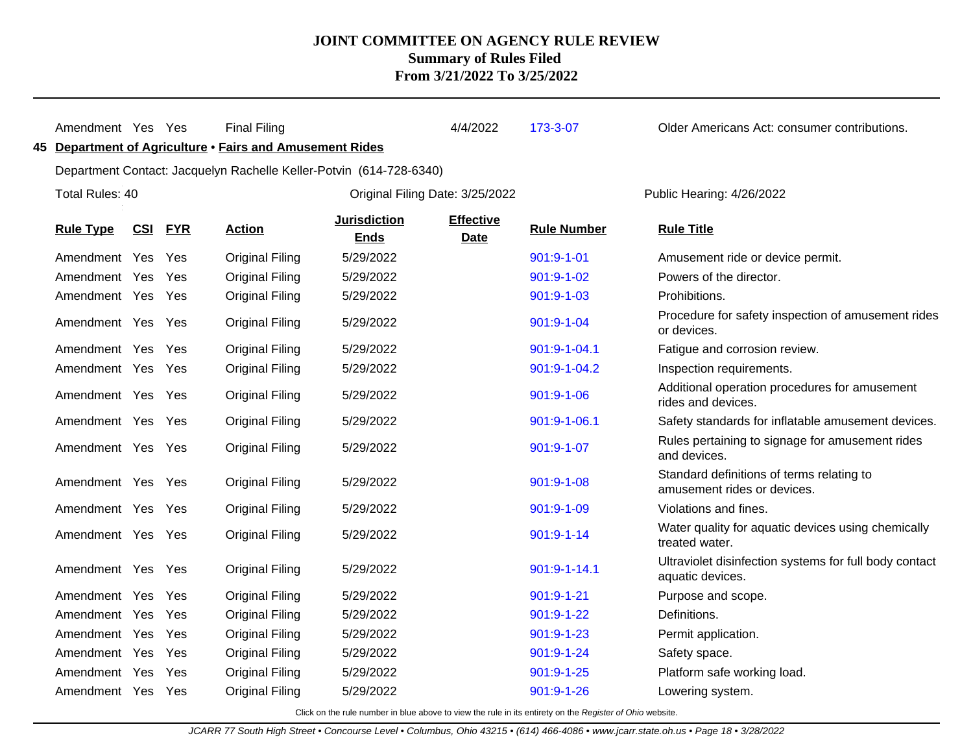| Amendment Yes Yes |                | <b>Final Filing</b>                                                 |                                    | 4/4/2022                        | 173-3-07           | Older Americans Act: consumer contributions.                               |
|-------------------|----------------|---------------------------------------------------------------------|------------------------------------|---------------------------------|--------------------|----------------------------------------------------------------------------|
|                   |                | 45 Department of Agriculture · Fairs and Amusement Rides            |                                    |                                 |                    |                                                                            |
|                   |                | Department Contact: Jacquelyn Rachelle Keller-Potvin (614-728-6340) |                                    |                                 |                    |                                                                            |
| Total Rules: 40   |                |                                                                     | Original Filing Date: 3/25/2022    |                                 |                    | Public Hearing: 4/26/2022                                                  |
| <b>Rule Type</b>  | <b>CSI FYR</b> | <b>Action</b>                                                       | <b>Jurisdiction</b><br><b>Ends</b> | <b>Effective</b><br><b>Date</b> | <b>Rule Number</b> | <b>Rule Title</b>                                                          |
| Amendment Yes     | Yes            | <b>Original Filing</b>                                              | 5/29/2022                          |                                 | 901:9-1-01         | Amusement ride or device permit.                                           |
| Amendment Yes     | Yes            | Original Filing                                                     | 5/29/2022                          |                                 | 901:9-1-02         | Powers of the director.                                                    |
| Amendment Yes Yes |                | <b>Original Filing</b>                                              | 5/29/2022                          |                                 | 901:9-1-03         | Prohibitions.                                                              |
| Amendment Yes Yes |                | <b>Original Filing</b>                                              | 5/29/2022                          |                                 | 901:9-1-04         | Procedure for safety inspection of amusement rides<br>or devices.          |
| Amendment Yes     | Yes            | <b>Original Filing</b>                                              | 5/29/2022                          |                                 | 901:9-1-04.1       | Fatigue and corrosion review.                                              |
| Amendment Yes Yes |                | <b>Original Filing</b>                                              | 5/29/2022                          |                                 | 901:9-1-04.2       | Inspection requirements.                                                   |
| Amendment Yes Yes |                | <b>Original Filing</b>                                              | 5/29/2022                          |                                 | 901:9-1-06         | Additional operation procedures for amusement<br>rides and devices.        |
| Amendment Yes Yes |                | <b>Original Filing</b>                                              | 5/29/2022                          |                                 | 901:9-1-06.1       | Safety standards for inflatable amusement devices.                         |
| Amendment Yes Yes |                | <b>Original Filing</b>                                              | 5/29/2022                          |                                 | 901:9-1-07         | Rules pertaining to signage for amusement rides<br>and devices.            |
| Amendment Yes Yes |                | <b>Original Filing</b>                                              | 5/29/2022                          |                                 | 901:9-1-08         | Standard definitions of terms relating to<br>amusement rides or devices.   |
| Amendment Yes Yes |                | <b>Original Filing</b>                                              | 5/29/2022                          |                                 | 901:9-1-09         | Violations and fines.                                                      |
| Amendment Yes Yes |                | <b>Original Filing</b>                                              | 5/29/2022                          |                                 | $901:9 - 1 - 14$   | Water quality for aquatic devices using chemically<br>treated water.       |
| Amendment Yes Yes |                | <b>Original Filing</b>                                              | 5/29/2022                          |                                 | 901:9-1-14.1       | Ultraviolet disinfection systems for full body contact<br>aquatic devices. |
| Amendment Yes     | Yes            | <b>Original Filing</b>                                              | 5/29/2022                          |                                 | $901:9 - 1 - 21$   | Purpose and scope.                                                         |
| Amendment Yes     | Yes            | <b>Original Filing</b>                                              | 5/29/2022                          |                                 | 901:9-1-22         | Definitions.                                                               |
| Amendment Yes     | Yes            | Original Filing                                                     | 5/29/2022                          |                                 | $901:9 - 1 - 23$   | Permit application.                                                        |
| Amendment Yes     | Yes            | Original Filing                                                     | 5/29/2022                          |                                 | $901:9 - 1 - 24$   | Safety space.                                                              |
| Amendment Yes     | Yes            | <b>Original Filing</b>                                              | 5/29/2022                          |                                 | 901:9-1-25         | Platform safe working load.                                                |
| Amendment Yes Yes |                | <b>Original Filing</b>                                              | 5/29/2022                          |                                 | 901:9-1-26         | Lowering system.                                                           |
|                   |                |                                                                     |                                    |                                 |                    |                                                                            |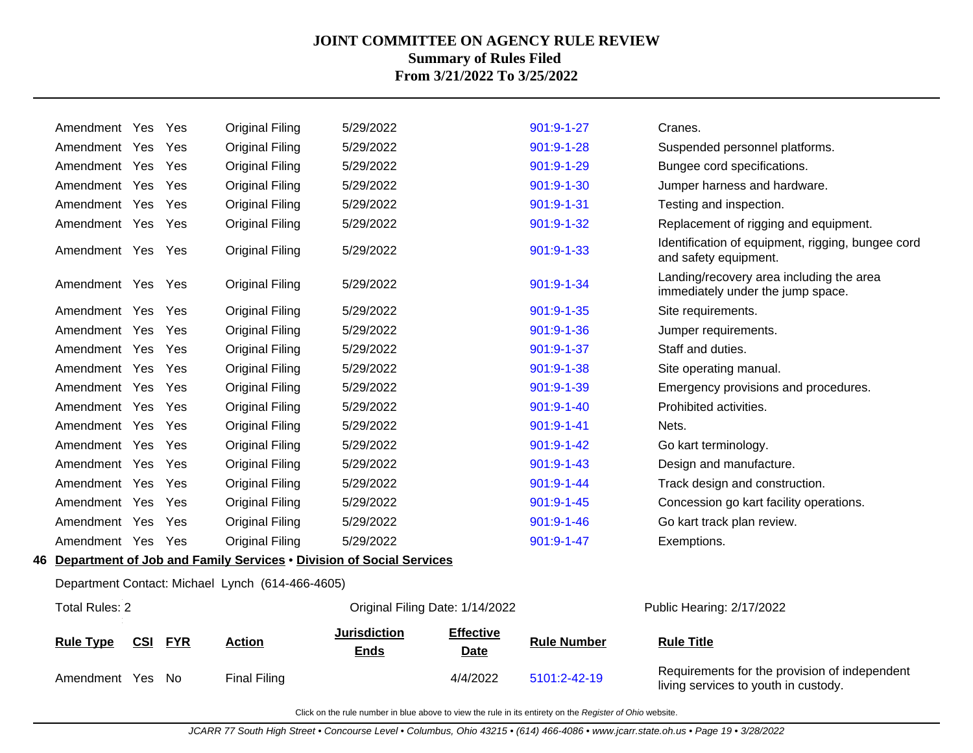| CSI              | <b>FYR</b>                                                                                                                                                                                                                                                                                                                                                                | <b>Action</b>                   | <b>Jurisdiction</b><br><b>Ends</b> | <b>Effective</b><br><b>Date</b>                  | <b>Rule Number</b>                                                                                        | <b>Rule Title</b>                                                             |
|------------------|---------------------------------------------------------------------------------------------------------------------------------------------------------------------------------------------------------------------------------------------------------------------------------------------------------------------------------------------------------------------------|---------------------------------|------------------------------------|--------------------------------------------------|-----------------------------------------------------------------------------------------------------------|-------------------------------------------------------------------------------|
|                  |                                                                                                                                                                                                                                                                                                                                                                           |                                 |                                    |                                                  |                                                                                                           | Public Hearing: 2/17/2022                                                     |
|                  |                                                                                                                                                                                                                                                                                                                                                                           |                                 |                                    |                                                  |                                                                                                           |                                                                               |
|                  |                                                                                                                                                                                                                                                                                                                                                                           |                                 |                                    |                                                  |                                                                                                           |                                                                               |
|                  | Yes                                                                                                                                                                                                                                                                                                                                                                       | <b>Original Filing</b>          | 5/29/2022                          |                                                  | 901:9-1-47                                                                                                | Exemptions.                                                                   |
|                  | Yes                                                                                                                                                                                                                                                                                                                                                                       | <b>Original Filing</b>          | 5/29/2022                          |                                                  | 901:9-1-46                                                                                                | Go kart track plan review.                                                    |
|                  | Yes                                                                                                                                                                                                                                                                                                                                                                       | <b>Original Filing</b>          | 5/29/2022                          |                                                  | 901:9-1-45                                                                                                | Concession go kart facility operations.                                       |
|                  | Yes                                                                                                                                                                                                                                                                                                                                                                       | <b>Original Filing</b>          | 5/29/2022                          |                                                  | $901:9 - 1 - 44$                                                                                          | Track design and construction.                                                |
|                  | Yes                                                                                                                                                                                                                                                                                                                                                                       | Original Filing                 | 5/29/2022                          |                                                  | $901:9 - 1 - 43$                                                                                          | Design and manufacture.                                                       |
|                  | Yes                                                                                                                                                                                                                                                                                                                                                                       | <b>Original Filing</b>          | 5/29/2022                          |                                                  | 901:9-1-42                                                                                                | Go kart terminology.                                                          |
|                  | <b>Yes</b>                                                                                                                                                                                                                                                                                                                                                                | <b>Original Filing</b>          | 5/29/2022                          |                                                  | 901:9-1-41                                                                                                | Nets.                                                                         |
|                  | Yes                                                                                                                                                                                                                                                                                                                                                                       | <b>Original Filing</b>          | 5/29/2022                          |                                                  | $901:9 - 1 - 40$                                                                                          | Prohibited activities.                                                        |
|                  | Yes                                                                                                                                                                                                                                                                                                                                                                       | <b>Original Filing</b>          | 5/29/2022                          |                                                  | 901:9-1-39                                                                                                | Emergency provisions and procedures.                                          |
|                  | <b>Yes</b>                                                                                                                                                                                                                                                                                                                                                                | <b>Original Filing</b>          | 5/29/2022                          |                                                  | 901:9-1-38                                                                                                | Site operating manual.                                                        |
|                  | Yes                                                                                                                                                                                                                                                                                                                                                                       | <b>Original Filing</b>          | 5/29/2022                          |                                                  | 901:9-1-37                                                                                                | Staff and duties.                                                             |
|                  | <b>Yes</b>                                                                                                                                                                                                                                                                                                                                                                | <b>Original Filing</b>          | 5/29/2022                          |                                                  | 901:9-1-36                                                                                                | Jumper requirements.                                                          |
|                  | <b>Yes</b>                                                                                                                                                                                                                                                                                                                                                                | <b>Original Filing</b>          | 5/29/2022                          |                                                  | $901:9 - 1 - 35$                                                                                          | Site requirements.                                                            |
|                  |                                                                                                                                                                                                                                                                                                                                                                           | <b>Original Filing</b>          | 5/29/2022                          |                                                  | 901:9-1-34                                                                                                | Landing/recovery area including the area<br>immediately under the jump space. |
|                  |                                                                                                                                                                                                                                                                                                                                                                           | <b>Original Filing</b>          | 5/29/2022                          |                                                  | 901:9-1-33                                                                                                | Identification of equipment, rigging, bungee cord<br>and safety equipment.    |
|                  |                                                                                                                                                                                                                                                                                                                                                                           | <b>Original Filing</b>          | 5/29/2022                          |                                                  | 901:9-1-32                                                                                                | Replacement of rigging and equipment.                                         |
|                  | Yes                                                                                                                                                                                                                                                                                                                                                                       | <b>Original Filing</b>          | 5/29/2022                          |                                                  | 901:9-1-31                                                                                                | Testing and inspection.                                                       |
|                  | Yes                                                                                                                                                                                                                                                                                                                                                                       | <b>Original Filing</b>          | 5/29/2022                          |                                                  | 901:9-1-30                                                                                                | Jumper harness and hardware.                                                  |
|                  | <b>Yes</b>                                                                                                                                                                                                                                                                                                                                                                | Original Filing                 | 5/29/2022                          |                                                  | 901:9-1-29                                                                                                | Bungee cord specifications.                                                   |
|                  | Yes                                                                                                                                                                                                                                                                                                                                                                       | <b>Original Filing</b>          | 5/29/2022                          |                                                  | 901:9-1-28                                                                                                | Suspended personnel platforms.                                                |
|                  | Yes                                                                                                                                                                                                                                                                                                                                                                       | Original Filing                 | 5/29/2022                          |                                                  | 901:9-1-27                                                                                                | Cranes.                                                                       |
| <b>Rule Type</b> | Amendment Yes<br>Amendment Yes<br>Amendment Yes<br>Amendment Yes<br>Amendment Yes<br>Amendment Yes<br>Amendment Yes<br>Amendment Yes<br>Amendment Yes<br>Amendment Yes<br>Amendment Yes<br>Amendment Yes<br>Amendment Yes<br>Amendment Yes<br>Amendment Yes<br>Amendment Yes<br>Amendment Yes<br>Amendment Yes<br>Amendment Yes<br>Amendment Yes<br><b>Total Rules: 2</b> | Yes<br>Yes<br>Amendment Yes Yes |                                    | Department Contact: Michael Lynch (614-466-4605) | 46 Department of Job and Family Services . Division of Social Services<br>Original Filing Date: 1/14/2022 |                                                                               |

Amendment Yes No Final Filing 2002 4/4/2022 [5101:2-42-19](http://www.registerofohio.state.oh.us/jsps/publicdisplayrules/processPublicDisplayRules.jsp?entered_rule_no=5101:2-42-19&doWhat=GETBYRULENUM&raID=0) Requirements for the provision of independent

Click on the rule number in blue above to view the rule in its entirety on the Register of Ohio website.

living services to youth in custody.